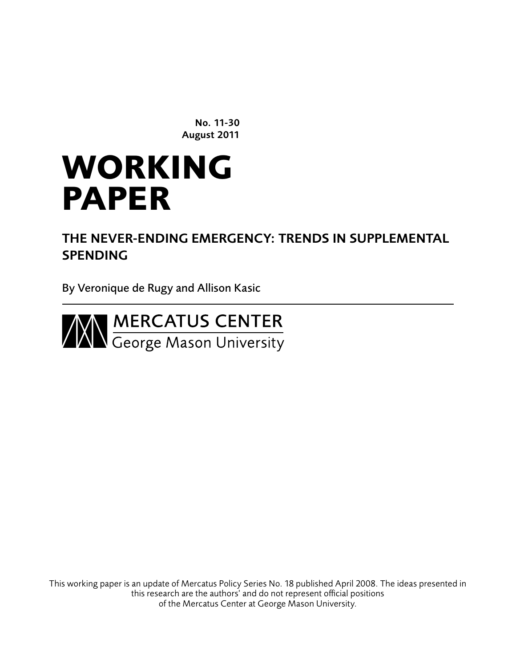No. 11-30 August 2011

# **WORKING PAPER**

THE NEVER-ENDING EMERGENCY: TRENDS IN SUPPLEMENTAL **SPENDING** 

By Veronique de Rugy and Allison Kasic



This working paper is an update of Mercatus Policy Series No. 18 published April 2008. The ideas presented in this research are the authors' and do not represent official positions of the Mercatus Center at George Mason University.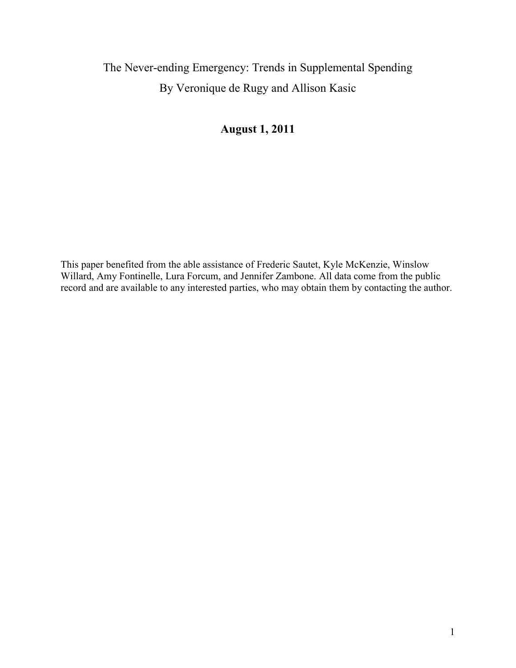# The Never-ending Emergency: Trends in Supplemental Spending By Veronique de Rugy and Allison Kasic

# **August 1, 2011**

<span id="page-1-0"></span>This paper benefited from the able assistance of Frederic Sautet, Kyle McKenzie, Winslow Willard, Amy Fontinelle, Lura Forcum, and Jennifer Zambone. All data come from the public record and are available to any interested parties, who may obtain them by contacting the author.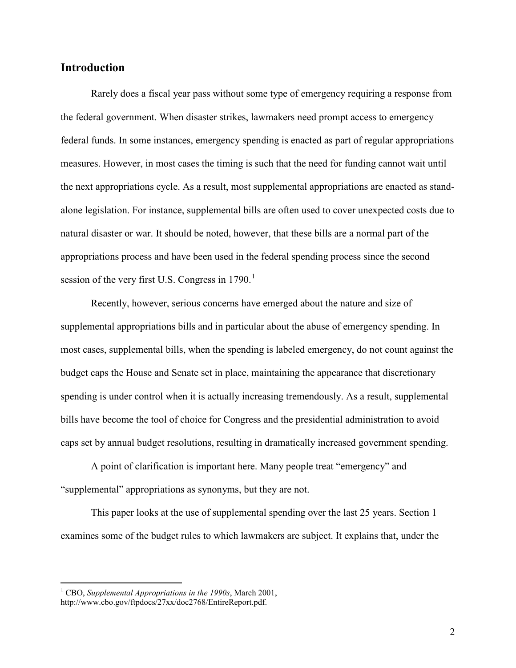## **Introduction**

Rarely does a fiscal year pass without some type of emergency requiring a response from the federal government. When disaster strikes, lawmakers need prompt access to emergency federal funds. In some instances, emergency spending is enacted as part of regular appropriations measures. However, in most cases the timing is such that the need for funding cannot wait until the next appropriations cycle. As a result, most supplemental appropriations are enacted as standalone legislation. For instance, supplemental bills are often used to cover unexpected costs due to natural disaster or war. It should be noted, however, that these bills are a normal part of the appropriations process and have been used in the federal spending process since the second session of the very first U.S. Congress in  $1790<sup>1</sup>$  $1790<sup>1</sup>$ 

Recently, however, serious concerns have emerged about the nature and size of supplemental appropriations bills and in particular about the abuse of emergency spending. In most cases, supplemental bills, when the spending is labeled emergency, do not count against the budget caps the House and Senate set in place, maintaining the appearance that discretionary spending is under control when it is actually increasing tremendously. As a result, supplemental bills have become the tool of choice for Congress and the presidential administration to avoid caps set by annual budget resolutions, resulting in dramatically increased government spending.

A point of clarification is important here. Many people treat "emergency" and "supplemental" appropriations as synonyms, but they are not.

This paper looks at the use of supplemental spending over the last 25 years. Section 1 examines some of the budget rules to which lawmakers are subject. It explains that, under the

<span id="page-2-0"></span> <sup>1</sup> CBO, *Supplemental Appropriations in the 1990s*, March 2001, http://www.cbo.gov/ftpdocs/27xx/doc2768/EntireReport.pdf.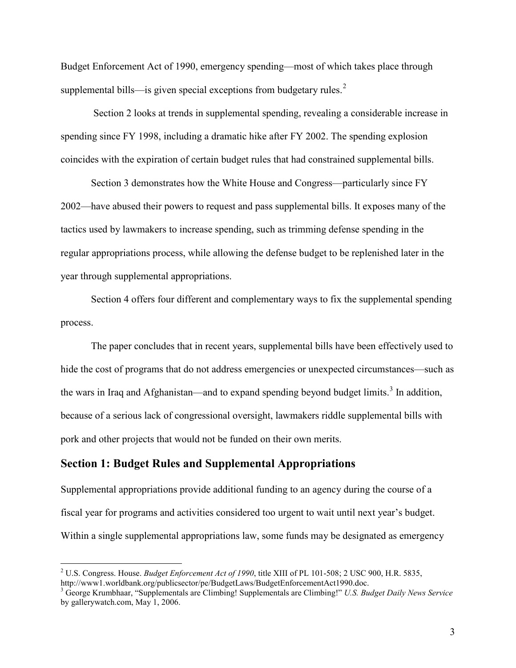Budget Enforcement Act of 1990, emergency spending—most of which takes place through supplemental bills—is given special exceptions from budgetary rules. $2^2$  $2^2$ 

Section 2 looks at trends in supplemental spending, revealing a considerable increase in spending since FY 1998, including a dramatic hike after FY 2002. The spending explosion coincides with the expiration of certain budget rules that had constrained supplemental bills.

Section 3 demonstrates how the White House and Congress—particularly since FY 2002—have abused their powers to request and pass supplemental bills. It exposes many of the tactics used by lawmakers to increase spending, such as trimming defense spending in the regular appropriations process, while allowing the defense budget to be replenished later in the year through supplemental appropriations.

Section 4 offers four different and complementary ways to fix the supplemental spending process.

The paper concludes that in recent years, supplemental bills have been effectively used to hide the cost of programs that do not address emergencies or unexpected circumstances—such as the wars in Iraq and Afghanistan—and to expand spending beyond budget limits.<sup>[3](#page-3-0)</sup> In addition, because of a serious lack of congressional oversight, lawmakers riddle supplemental bills with pork and other projects that would not be funded on their own merits.

### **Section 1: Budget Rules and Supplemental Appropriations**

Supplemental appropriations provide additional funding to an agency during the course of a fiscal year for programs and activities considered too urgent to wait until next year's budget. Within a single supplemental appropriations law, some funds may be designated as emergency

<span id="page-3-1"></span><span id="page-3-0"></span><sup>&</sup>lt;sup>2</sup> U.S. Congress. House. *Budget Enforcement Act of 1990*, title XIII of PL 101-508; 2 USC 900, H.R. 5835, http://www1.worldbank.org/publicsector/pe/BudgetLaws/BudgetEnforcementAct1990.doc.

<sup>3</sup> George Krumbhaar, "Supplementals are Climbing! Supplementals are Climbing!" *U.S. Budget Daily News Service*  by gallerywatch.com, May 1, 2006.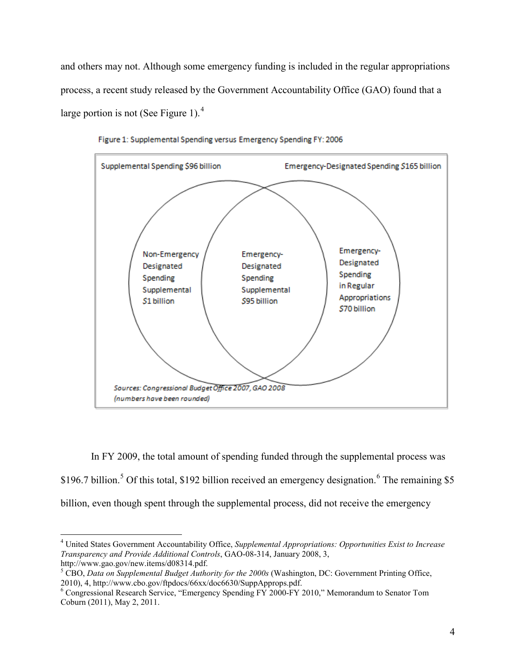and others may not. Although some emergency funding is included in the regular appropriations process, a recent study released by the Government Accountability Office (GAO) found that a large portion is not (See Figure 1).<sup>[4](#page-3-1)</sup>



Figure 1: Supplemental Spending versus Emergency Spending FY: 2006

In FY 2009, the total amount of spending funded through the supplemental process was \$196.7 billion.<sup>[5](#page-4-0)</sup> Of this total, \$192 billion received an emergency designation.<sup>[6](#page-4-0)</sup> The remaining \$5 billion, even though spent through the supplemental process, did not receive the emergency

<span id="page-4-0"></span> <sup>4</sup> United States Government Accountability Office, *Supplemental Appropriations: Opportunities Exist to Increase Transparency and Provide Additional Controls*, GAO-08-314, January 2008, 3,

<span id="page-4-1"></span>http://www.gao.gov/new.items/d08314.pdf.<br><sup>5</sup> CBO, *Data on Supplemental Budget Authority for the 2000s* (Washington, DC: Government Printing Office, 2010), 4, http://www.cbo.gov/ftpdocs/66xx/doc6630/SuppApprops.pdf.

 $\frac{1}{6}$ Congressional Research Service, "Emergency Spending FY 2000-FY 2010," Memorandum to Senator Tom Coburn (2011), May 2, 2011.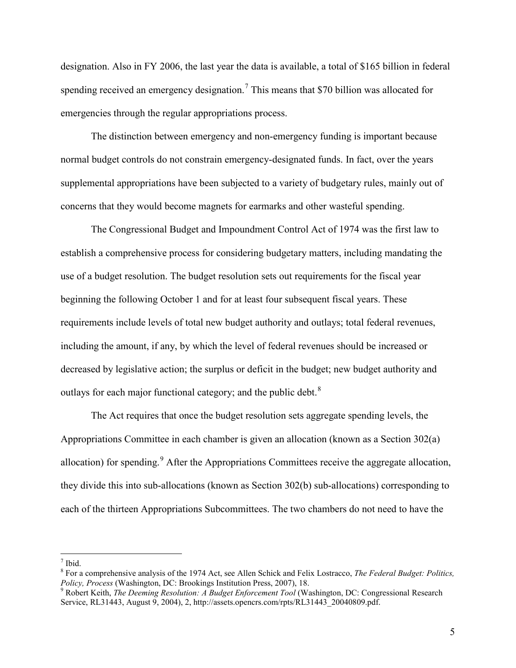designation. Also in FY 2006, the last year the data is available, a total of \$165 billion in federal spending received an emergency designation.<sup>[7](#page-4-1)</sup> This means that \$70 billion was allocated for emergencies through the regular appropriations process.

The distinction between emergency and non-emergency funding is important because normal budget controls do not constrain emergency-designated funds. In fact, over the years supplemental appropriations have been subjected to a variety of budgetary rules, mainly out of concerns that they would become magnets for earmarks and other wasteful spending.

The Congressional Budget and Impoundment Control Act of 1974 was the first law to establish a comprehensive process for considering budgetary matters, including mandating the use of a budget resolution. The budget resolution sets out requirements for the fiscal year beginning the following October 1 and for at least four subsequent fiscal years. These requirements include levels of total new budget authority and outlays; total federal revenues, including the amount, if any, by which the level of federal revenues should be increased or decreased by legislative action; the surplus or deficit in the budget; new budget authority and outlays for each major functional category; and the public debt.<sup>[8](#page-5-0)</sup>

The Act requires that once the budget resolution sets aggregate spending levels, the Appropriations Committee in each chamber is given an allocation (known as a Section 302(a) allocation) for spending. $9$  After the Appropriations Committees receive the aggregate allocation, they divide this into sub-allocations (known as Section 302(b) sub-allocations) corresponding to each of the thirteen Appropriations Subcommittees. The two chambers do not need to have the

<span id="page-5-0"></span> $<sup>7</sup>$  Ibid.</sup>

<sup>8</sup> For a comprehensive analysis of the 1974 Act, see Allen Schick and Felix Lostracco, *The Federal Budget: Politics,* 

<span id="page-5-1"></span>*Policy, Process* (*Washington, The Deeming Resolution: A Budget Enforcement Tool* (Washington, DC: Congressional Research Service, RL31443, August 9, 2004), 2, http://assets.opencrs.com/rpts/RL31443\_20040809.pdf.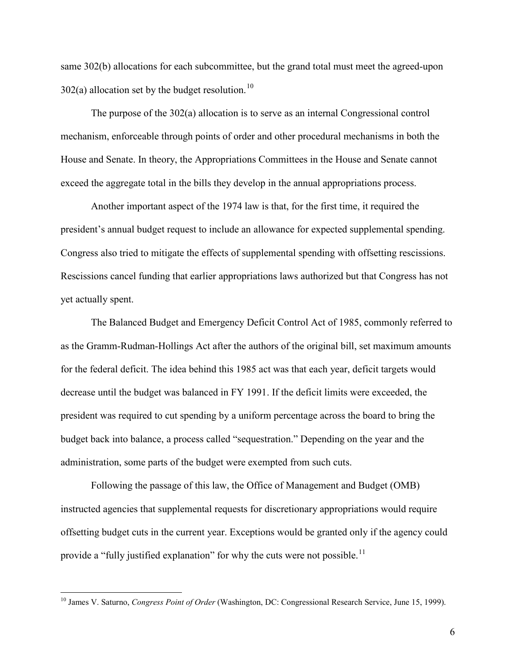same 302(b) allocations for each subcommittee, but the grand total must meet the agreed-upon  $302(a)$  allocation set by the budget resolution.<sup>[10](#page-5-1)</sup>

The purpose of the 302(a) allocation is to serve as an internal Congressional control mechanism, enforceable through points of order and other procedural mechanisms in both the House and Senate. In theory, the Appropriations Committees in the House and Senate cannot exceed the aggregate total in the bills they develop in the annual appropriations process.

Another important aspect of the 1974 law is that, for the first time, it required the president's annual budget request to include an allowance for expected supplemental spending. Congress also tried to mitigate the effects of supplemental spending with offsetting rescissions. Rescissions cancel funding that earlier appropriations laws authorized but that Congress has not yet actually spent.

The Balanced Budget and Emergency Deficit Control Act of 1985, commonly referred to as the Gramm-Rudman-Hollings Act after the authors of the original bill, set maximum amounts for the federal deficit. The idea behind this 1985 act was that each year, deficit targets would decrease until the budget was balanced in FY 1991. If the deficit limits were exceeded, the president was required to cut spending by a uniform percentage across the board to bring the budget back into balance, a process called "sequestration." Depending on the year and the administration, some parts of the budget were exempted from such cuts.

Following the passage of this law, the Office of Management and Budget (OMB) instructed agencies that supplemental requests for discretionary appropriations would require offsetting budget cuts in the current year. Exceptions would be granted only if the agency could provide a "fully justified explanation" for why the cuts were not possible.<sup>[11](#page-6-0)</sup>

<span id="page-6-0"></span><sup>&</sup>lt;sup>10</sup> James V. Saturno, *Congress Point of Order* (Washington, DC: Congressional Research Service, June 15, 1999).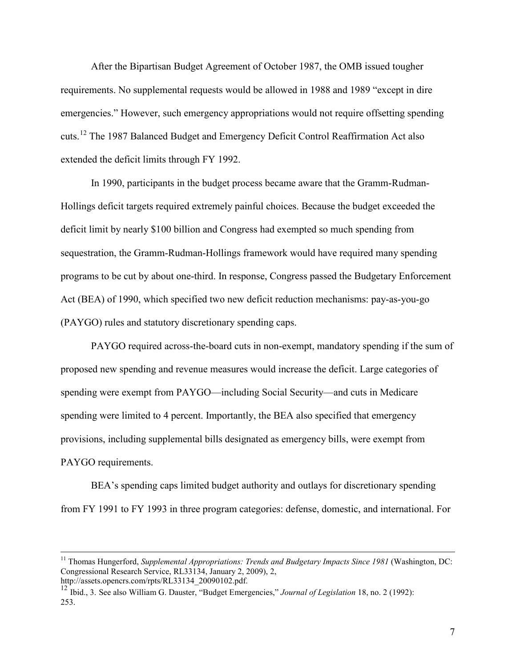After the Bipartisan Budget Agreement of October 1987, the OMB issued tougher requirements. No supplemental requests would be allowed in 1988 and 1989 "except in dire emergencies." However, such emergency appropriations would not require offsetting spending cuts.[12](#page-6-0) The 1987 Balanced Budget and Emergency Deficit Control Reaffirmation Act also extended the deficit limits through FY 1992.

In 1990, participants in the budget process became aware that the Gramm-Rudman-Hollings deficit targets required extremely painful choices. Because the budget exceeded the deficit limit by nearly \$100 billion and Congress had exempted so much spending from sequestration, the Gramm-Rudman-Hollings framework would have required many spending programs to be cut by about one-third. In response, Congress passed the Budgetary Enforcement Act (BEA) of 1990, which specified two new deficit reduction mechanisms: pay-as-you-go (PAYGO) rules and statutory discretionary spending caps.

PAYGO required across-the-board cuts in non-exempt, mandatory spending if the sum of proposed new spending and revenue measures would increase the deficit. Large categories of spending were exempt from PAYGO—including Social Security—and cuts in Medicare spending were limited to 4 percent. Importantly, the BEA also specified that emergency provisions, including supplemental bills designated as emergency bills, were exempt from PAYGO requirements.

BEA's spending caps limited budget authority and outlays for discretionary spending from FY 1991 to FY 1993 in three program categories: defense, domestic, and international. For

<sup>&</sup>lt;sup>11</sup> Thomas Hungerford, *Supplemental Appropriations: Trends and Budgetary Impacts Since 1981* (Washington, DC: Congressional Research Service, RL33134, January 2, 2009), 2, http://assets.opencrs.com/rpts/RL33134\_20090102.pdf.

<span id="page-7-0"></span><sup>&</sup>lt;sup>12</sup> Ibid., 3. See also William G. Dauster, "Budget Emergencies," *Journal of Legislation* 18, no. 2 (1992): 253.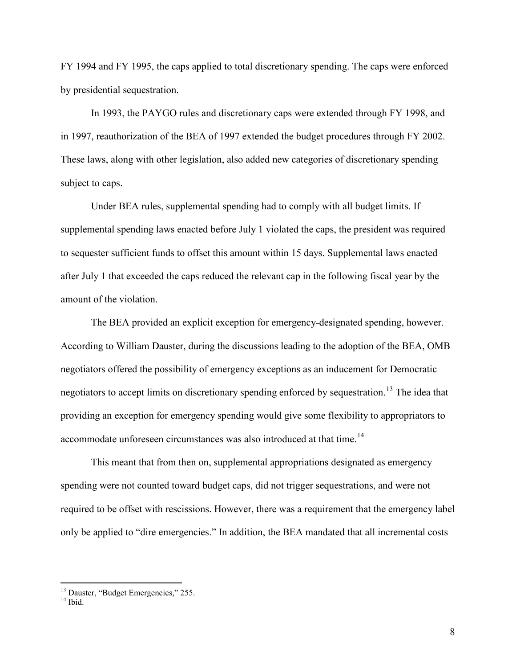FY 1994 and FY 1995, the caps applied to total discretionary spending. The caps were enforced by presidential sequestration.

In 1993, the PAYGO rules and discretionary caps were extended through FY 1998, and in 1997, reauthorization of the BEA of 1997 extended the budget procedures through FY 2002. These laws, along with other legislation, also added new categories of discretionary spending subject to caps.

Under BEA rules, supplemental spending had to comply with all budget limits. If supplemental spending laws enacted before July 1 violated the caps, the president was required to sequester sufficient funds to offset this amount within 15 days. Supplemental laws enacted after July 1 that exceeded the caps reduced the relevant cap in the following fiscal year by the amount of the violation.

The BEA provided an explicit exception for emergency-designated spending, however. According to William Dauster, during the discussions leading to the adoption of the BEA, OMB negotiators offered the possibility of emergency exceptions as an inducement for Democratic negotiators to accept limits on discretionary spending enforced by sequestration.<sup>[13](#page-7-0)</sup> The idea that providing an exception for emergency spending would give some flexibility to appropriators to accommodate unforeseen circumstances was also introduced at that time.<sup>[14](#page-8-0)</sup>

This meant that from then on, supplemental appropriations designated as emergency spending were not counted toward budget caps, did not trigger sequestrations, and were not required to be offset with rescissions. However, there was a requirement that the emergency label only be applied to "dire emergencies." In addition, the BEA mandated that all incremental costs

<span id="page-8-1"></span><span id="page-8-0"></span> $13$  Dauster, "Budget Emergencies," 255.<br> $14$  Ibid.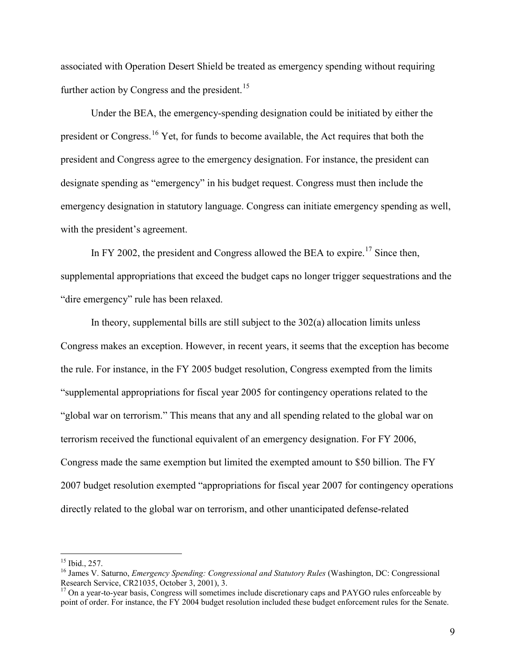associated with Operation Desert Shield be treated as emergency spending without requiring further action by Congress and the president.<sup>[15](#page-8-1)</sup>

Under the BEA, the emergency-spending designation could be initiated by either the president or Congress.[16](#page-9-0) Yet, for funds to become available, the Act requires that both the president and Congress agree to the emergency designation. For instance, the president can designate spending as "emergency" in his budget request. Congress must then include the emergency designation in statutory language. Congress can initiate emergency spending as well, with the president's agreement.

In FY 2002, the president and Congress allowed the BEA to expire.<sup>[17](#page-9-0)</sup> Since then, supplemental appropriations that exceed the budget caps no longer trigger sequestrations and the "dire emergency" rule has been relaxed.

In theory, supplemental bills are still subject to the 302(a) allocation limits unless Congress makes an exception. However, in recent years, it seems that the exception has become the rule. For instance, in the FY 2005 budget resolution, Congress exempted from the limits "supplemental appropriations for fiscal year 2005 for contingency operations related to the "global war on terrorism." This means that any and all spending related to the global war on terrorism received the functional equivalent of an emergency designation. For FY 2006, Congress made the same exemption but limited the exempted amount to \$50 billion. The FY 2007 budget resolution exempted "appropriations for fiscal year 2007 for contingency operations directly related to the global war on terrorism, and other unanticipated defense-related

<span id="page-9-0"></span><sup>&</sup>lt;sup>15</sup> Ibid., 257.<br><sup>16</sup> James V. Saturno, *Emergency Spending: Congressional and Statutory Rules* (Washington, DC: Congressional Research Service, CR21035, October 3, 2001), 3.

<sup>&</sup>lt;sup>17</sup> On a vear-to-year basis, Congress will sometimes include discretionary caps and PAYGO rules enforceable by point of order. For instance, the FY 2004 budget resolution included these budget enforcement rules for the Senate.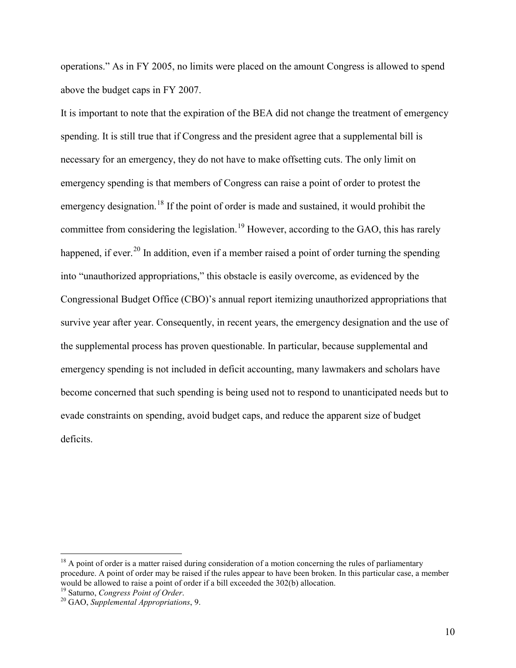operations." As in FY 2005, no limits were placed on the amount Congress is allowed to spend above the budget caps in FY 2007.

It is important to note that the expiration of the BEA did not change the treatment of emergency spending. It is still true that if Congress and the president agree that a supplemental bill is necessary for an emergency, they do not have to make offsetting cuts. The only limit on emergency spending is that members of Congress can raise a point of order to protest the emergency designation.<sup>[18](#page-9-0)</sup> If the point of order is made and sustained, it would prohibit the committee from considering the legislation.<sup>[19](#page-10-0)</sup> However, according to the GAO, this has rarely happened, if ever.<sup>[20](#page-10-0)</sup> In addition, even if a member raised a point of order turning the spending into "unauthorized appropriations," this obstacle is easily overcome, as evidenced by the Congressional Budget Office (CBO)'s annual report itemizing unauthorized appropriations that survive year after year. Consequently, in recent years, the emergency designation and the use of the supplemental process has proven questionable. In particular, because supplemental and emergency spending is not included in deficit accounting, many lawmakers and scholars have become concerned that such spending is being used not to respond to unanticipated needs but to evade constraints on spending, avoid budget caps, and reduce the apparent size of budget deficits.

<span id="page-10-1"></span><span id="page-10-0"></span><sup>&</sup>lt;sup>18</sup> A point of order is a matter raised during consideration of a motion concerning the rules of parliamentary procedure. A point of order may be raised if the rules appear to have been broken. In this particular case, a member would be allowed to raise a point of order if a bill exceeded the 302(b) allocation.<br><sup>19</sup> Saturno, *Congress Point of Order*.

<sup>&</sup>lt;sup>20</sup> GAO, *Supplemental Appropriations*, 9.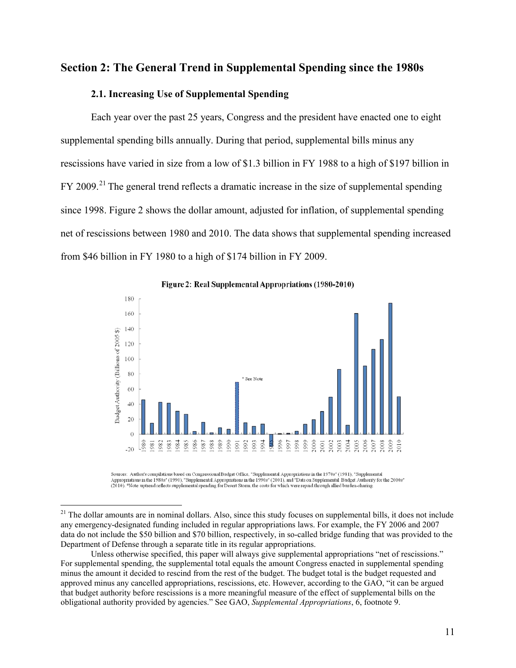# **Section 2: The General Trend in Supplemental Spending since the 1980s**

#### **2.1. Increasing Use of Supplemental Spending**

Each year over the past 25 years, Congress and the president have enacted one to eight supplemental spending bills annually. During that period, supplemental bills minus any rescissions have varied in size from a low of \$1.3 billion in FY 1988 to a high of \$197 billion in FY 2009.<sup>[21](#page-10-1)</sup> The general trend reflects a dramatic increase in the size of supplemental spending since 1998. Figure 2 shows the dollar amount, adjusted for inflation, of supplemental spending net of rescissions between 1980 and 2010. The data shows that supplemental spending increased from \$46 billion in FY 1980 to a high of \$174 billion in FY 2009.



Figure 2: Real Supplemental Appropriations (1980-2010)

Sources: Author's compilations based on Congressional Budget Office, "Supplemental Appropriations in the 1970s" (1981), "Supplemental Appropriations in the 1980s" (1990). "Supplemental Appropriations in the 1990s" (2001), and "Data on Supplemental Budget Authority for the 2000s" (2010). "Note: uptrend reflects supplemental spending for Desert Storm, the

 $21$  The dollar amounts are in nominal dollars. Also, since this study focuses on supplemental bills, it does not include any emergency-designated funding included in regular appropriations laws. For example, the FY 2006 and 2007 data do not include the \$50 billion and \$70 billion, respectively, in so-called bridge funding that was provided to the Department of Defense through a separate title in its regular appropriations.

<span id="page-11-0"></span>Unless otherwise specified, this paper will always give supplemental appropriations "net of rescissions." For supplemental spending, the supplemental total equals the amount Congress enacted in supplemental spending minus the amount it decided to rescind from the rest of the budget. The budget total is the budget requested and approved minus any cancelled appropriations, rescissions, etc. However, according to the GAO, "it can be argued that budget authority before rescissions is a more meaningful measure of the effect of supplemental bills on the obligational authority provided by agencies." See GAO, *Supplemental Appropriations*, 6, footnote 9.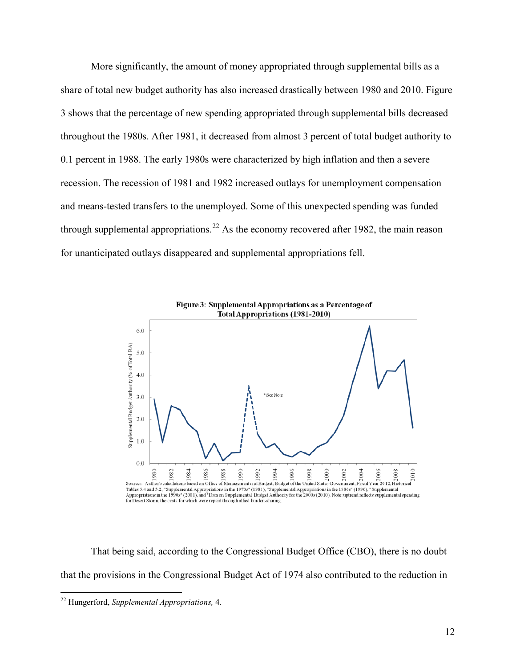More significantly, the amount of money appropriated through supplemental bills as a share of total new budget authority has also increased drastically between 1980 and 2010. Figure 3 shows that the percentage of new spending appropriated through supplemental bills decreased throughout the 1980s. After 1981, it decreased from almost 3 percent of total budget authority to 0.1 percent in 1988. The early 1980s were characterized by high inflation and then a severe recession. The recession of 1981 and 1982 increased outlays for unemployment compensation and means-tested transfers to the unemployed. Some of this unexpected spending was funded through supplemental appropriations.<sup>[22](#page-11-0)</sup> As the economy recovered after 1982, the main reason for unanticipated outlays disappeared and supplemental appropriations fell.



That being said, according to the Congressional Budget Office (CBO), there is no doubt that the provisions in the Congressional Budget Act of 1974 also contributed to the reduction in

<span id="page-12-0"></span> <sup>22</sup> Hungerford, *Supplemental Appropriations,* 4.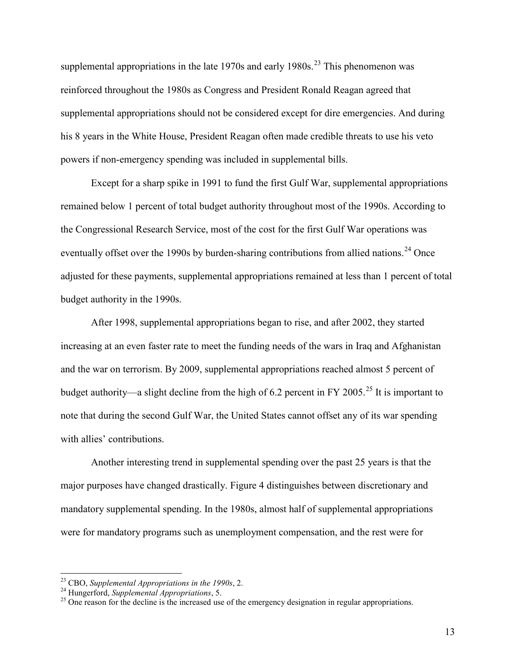supplemental appropriations in the late  $1970s$  and early  $1980s$ .<sup>[23](#page-12-0)</sup> This phenomenon was reinforced throughout the 1980s as Congress and President Ronald Reagan agreed that supplemental appropriations should not be considered except for dire emergencies. And during his 8 years in the White House, President Reagan often made credible threats to use his veto powers if non-emergency spending was included in supplemental bills.

Except for a sharp spike in 1991 to fund the first Gulf War, supplemental appropriations remained below 1 percent of total budget authority throughout most of the 1990s. According to the Congressional Research Service, most of the cost for the first Gulf War operations was eventually offset over the 1990s by burden-sharing contributions from allied nations.<sup>[24](#page-13-0)</sup> Once adjusted for these payments, supplemental appropriations remained at less than 1 percent of total budget authority in the 1990s.

After 1998, supplemental appropriations began to rise, and after 2002, they started increasing at an even faster rate to meet the funding needs of the wars in Iraq and Afghanistan and the war on terrorism. By 2009, supplemental appropriations reached almost 5 percent of budget authority—a slight decline from the high of 6.2 percent in FY 2005.<sup>[25](#page-13-0)</sup> It is important to note that during the second Gulf War, the United States cannot offset any of its war spending with allies' contributions.

Another interesting trend in supplemental spending over the past 25 years is that the major purposes have changed drastically. Figure 4 distinguishes between discretionary and mandatory supplemental spending. In the 1980s, almost half of supplemental appropriations were for mandatory programs such as unemployment compensation, and the rest were for

<span id="page-13-1"></span>

<span id="page-13-0"></span><sup>&</sup>lt;sup>23</sup> CBO, *Supplemental Appropriations in the 1990s*, 2.<br><sup>24</sup> Hungerford, *Supplemental Appropriations*, 5.<br><sup>25</sup> One reason for the decline is the increased use of the emergency designation in regular appropriations.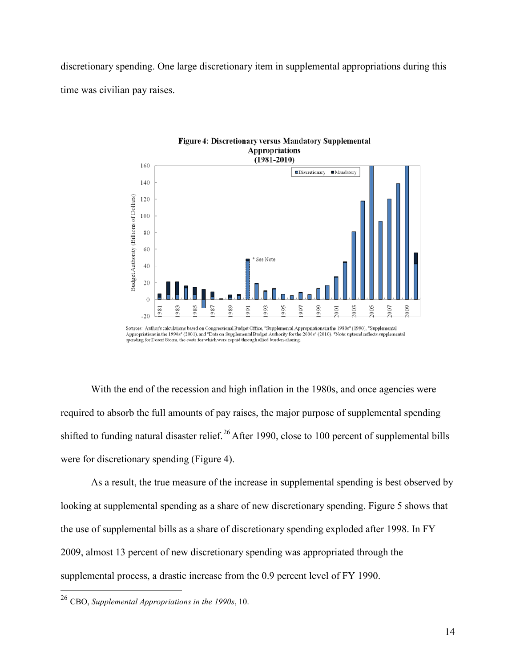discretionary spending. One large discretionary item in supplemental appropriations during this time was civilian pay raises.





With the end of the recession and high inflation in the 1980s, and once agencies were required to absorb the full amounts of pay raises, the major purpose of supplemental spending shifted to funding natural disaster relief.<sup>[26](#page-13-1)</sup> After 1990, close to 100 percent of supplemental bills were for discretionary spending (Figure 4).

As a result, the true measure of the increase in supplemental spending is best observed by looking at supplemental spending as a share of new discretionary spending. Figure 5 shows that the use of supplemental bills as a share of discretionary spending exploded after 1998. In FY 2009, almost 13 percent of new discretionary spending was appropriated through the supplemental process, a drastic increase from the 0.9 percent level of FY 1990.

<span id="page-14-0"></span> <sup>26</sup> CBO, *Supplemental Appropriations in the 1990s*, 10.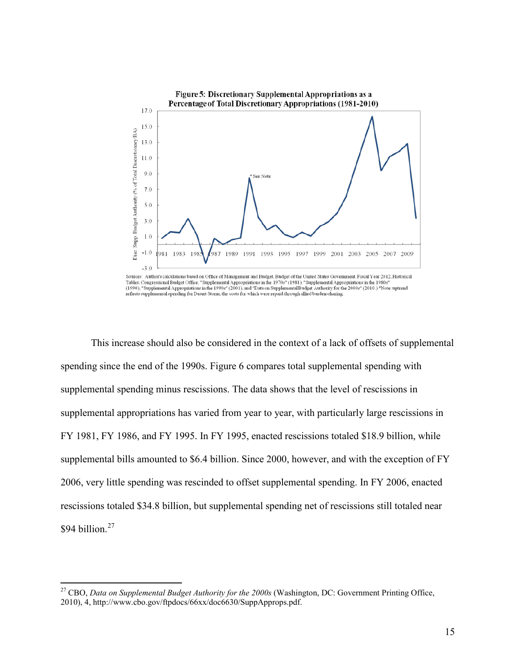

States: Congressional Budget Office, "Supplemental Appropriations in the 1970s" (1981), "Supplemental Appropriations in the 1980s"<br>(1990), "Supplemental Appropriations in the 1990s" (2001), and "Data on Supplemental Budget

This increase should also be considered in the context of a lack of offsets of supplemental spending since the end of the 1990s. Figure 6 compares total supplemental spending with supplemental spending minus rescissions. The data shows that the level of rescissions in supplemental appropriations has varied from year to year, with particularly large rescissions in FY 1981, FY 1986, and FY 1995. In FY 1995, enacted rescissions totaled \$18.9 billion, while supplemental bills amounted to \$6.4 billion. Since 2000, however, and with the exception of FY 2006, very little spending was rescinded to offset supplemental spending. In FY 2006, enacted rescissions totaled \$34.8 billion, but supplemental spending net of rescissions still totaled near \$94 billion.<sup>[27](#page-14-0)</sup>

<span id="page-15-0"></span> <sup>27</sup> CBO, *Data on Supplemental Budget Authority for the 2000s* (Washington, DC: Government Printing Office, 2010), 4, http://www.cbo.gov/ftpdocs/66xx/doc6630/SuppApprops.pdf.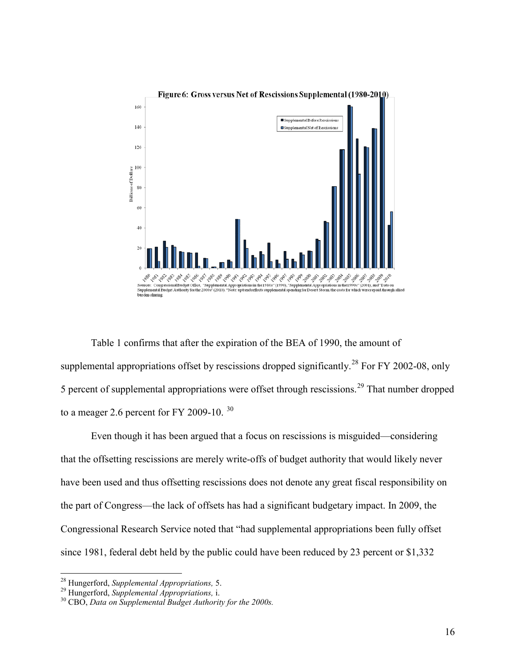

Table 1 confirms that after the expiration of the BEA of 1990, the amount of supplemental appropriations offset by rescissions dropped significantly.<sup>[28](#page-15-0)</sup> For FY 2002-08, only 5 percent of supplemental appropriations were offset through rescissions.<sup>[29](#page-16-0)</sup> That number dropped to a meager 2.6 percent for FY 2009-10.  $30$ 

Even though it has been argued that a focus on rescissions is misguided—considering that the offsetting rescissions are merely write-offs of budget authority that would likely never have been used and thus offsetting rescissions does not denote any great fiscal responsibility on the part of Congress—the lack of offsets has had a significant budgetary impact. In 2009, the Congressional Research Service noted that "had supplemental appropriations been fully offset since 1981, federal debt held by the public could have been reduced by 23 percent or \$1,332

<span id="page-16-1"></span><span id="page-16-0"></span><sup>28</sup> Hungerford, *Supplemental Appropriations,* 5. <sup>29</sup> Hungerford, *Supplemental Appropriations,* i. <sup>30</sup> CBO, *Data on Supplemental Budget Authority for the 2000s.*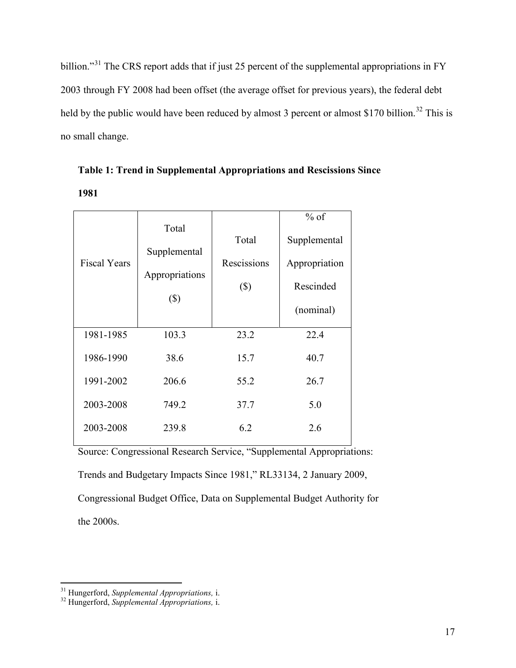billion."<sup>[31](#page-16-1)</sup> The CRS report adds that if just 25 percent of the supplemental appropriations in FY 2003 through FY 2008 had been offset (the average offset for previous years), the federal debt held by the public would have been reduced by almost 3 percent or almost \$170 billion.<sup>[32](#page-17-0)</sup> This is no small change.

|                     | Total                    |             | $%$ of        |
|---------------------|--------------------------|-------------|---------------|
| <b>Fiscal Years</b> | Supplemental             | Total       | Supplemental  |
|                     |                          | Rescissions | Appropriation |
|                     | Appropriations<br>$(\$)$ | $(\$)$      | Rescinded     |
|                     |                          |             | (nominal)     |
| 1981-1985           | 103.3                    | 23.2        | 22.4          |
| 1986-1990           | 38.6                     | 15.7        | 40.7          |
| 1991-2002           | 206.6                    | 55.2        | 26.7          |
| 2003-2008           | 749.2                    | 37.7        | 5.0           |
| 2003-2008           | 239.8                    | 6.2         | 2.6           |

| Table 1: Trend in Supplemental Appropriations and Rescissions Since |  |
|---------------------------------------------------------------------|--|
| 1981                                                                |  |

Source: Congressional Research Service, "Supplemental Appropriations: Trends and Budgetary Impacts Since 1981," RL33134, 2 January 2009, Congressional Budget Office, Data on Supplemental Budget Authority for the 2000s.

<span id="page-17-1"></span><span id="page-17-0"></span><sup>31</sup> Hungerford, *Supplemental Appropriations,* i. <sup>32</sup> Hungerford, *Supplemental Appropriations,* i.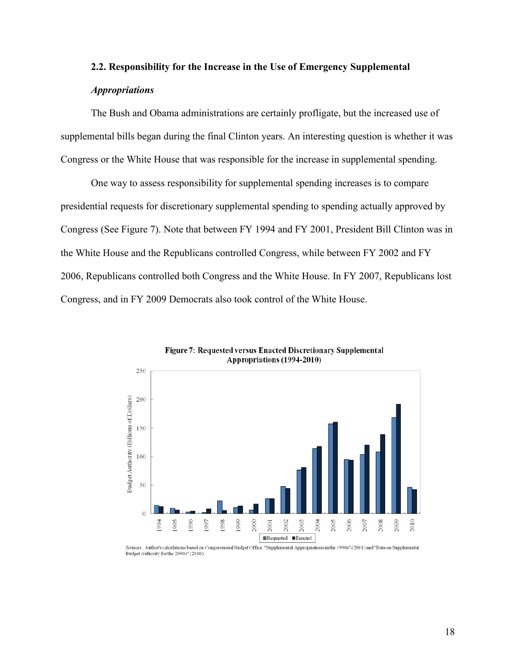# **2.2. Responsibility for the Increase in the Use of Emergency Supplemental**  *Appropriations*

The Bush and Obama administrations are certainly profligate, but the increased use of supplemental bills began during the final Clinton years. An interesting question is whether it was Congress or the White House that was responsible for the increase in supplemental spending.

One way to assess responsibility for supplemental spending increases is to compare presidential requests for discretionary supplemental spending to spending actually approved by Congress (See Figure 7). Note that between FY 1994 and FY 2001, President Bill Clinton was in the White House and the Republicans controlled Congress, while between FY 2002 and FY 2006, Republicans controlled both Congress and the White House. In FY 2007, Republicans lost Congress, and in FY 2009 Democrats also took control of the White House.



Figure 7: Requested versus Enacted Discretionary Supplemental Appropriations (1994-2010)

Sources: Author's calculations based on Congressional Budget Office, "Supplemental Appropriations in the 1990s" (2001) and "Data on Supplemental Budget Authority for the 2000s" (2010)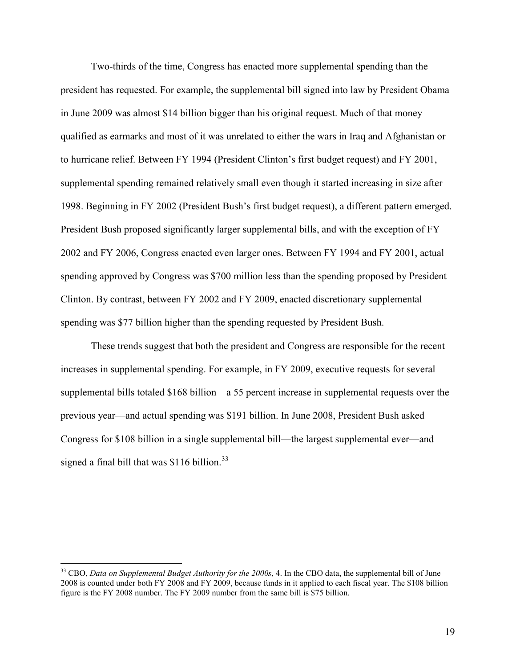Two-thirds of the time, Congress has enacted more supplemental spending than the president has requested. For example, the supplemental bill signed into law by President Obama in June 2009 was almost \$14 billion bigger than his original request. Much of that money qualified as earmarks and most of it was unrelated to either the wars in Iraq and Afghanistan or to hurricane relief. Between FY 1994 (President Clinton's first budget request) and FY 2001, supplemental spending remained relatively small even though it started increasing in size after 1998. Beginning in FY 2002 (President Bush's first budget request), a different pattern emerged. President Bush proposed significantly larger supplemental bills, and with the exception of FY 2002 and FY 2006, Congress enacted even larger ones. Between FY 1994 and FY 2001, actual spending approved by Congress was \$700 million less than the spending proposed by President Clinton. By contrast, between FY 2002 and FY 2009, enacted discretionary supplemental spending was \$77 billion higher than the spending requested by President Bush.

These trends suggest that both the president and Congress are responsible for the recent increases in supplemental spending. For example, in FY 2009, executive requests for several supplemental bills totaled \$168 billion—a 55 percent increase in supplemental requests over the previous year—and actual spending was \$191 billion. In June 2008, President Bush asked Congress for \$108 billion in a single supplemental bill—the largest supplemental ever—and signed a final bill that was  $$116$  billion.<sup>[33](#page-17-1)</sup>

<span id="page-19-0"></span><sup>&</sup>lt;sup>33</sup> CBO, *Data on Supplemental Budget Authority for the 2000s*, 4. In the CBO data, the supplemental bill of June 2008 is counted under both FY 2008 and FY 2009, because funds in it applied to each fiscal year. The \$108 billion figure is the FY 2008 number. The FY 2009 number from the same bill is \$75 billion.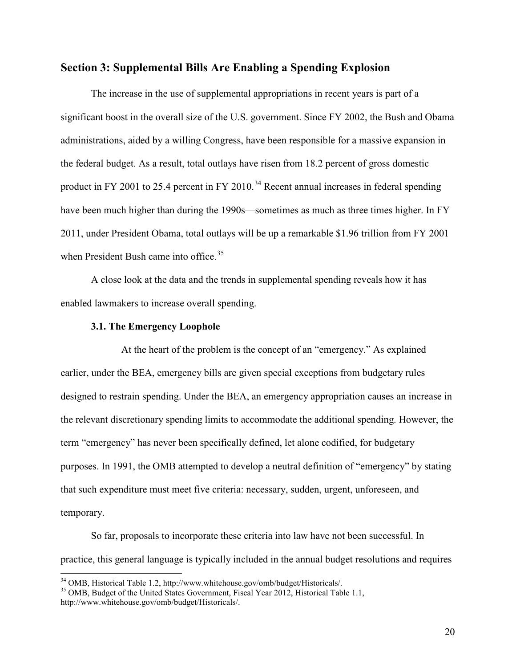#### **Section 3: Supplemental Bills Are Enabling a Spending Explosion**

The increase in the use of supplemental appropriations in recent years is part of a significant boost in the overall size of the U.S. government. Since FY 2002, the Bush and Obama administrations, aided by a willing Congress, have been responsible for a massive expansion in the federal budget. As a result, total outlays have risen from 18.2 percent of gross domestic product in FY 2001 to 25.4 percent in FY 2010.<sup>[34](#page-19-0)</sup> Recent annual increases in federal spending have been much higher than during the 1990s—sometimes as much as three times higher. In FY 2011, under President Obama, total outlays will be up a remarkable \$1.96 trillion from FY 2001 when President Bush came into office. $35$ 

A close look at the data and the trends in supplemental spending reveals how it has enabled lawmakers to increase overall spending.

#### **3.1. The Emergency Loophole**

At the heart of the problem is the concept of an "emergency." As explained earlier, under the BEA, emergency bills are given special exceptions from budgetary rules designed to restrain spending. Under the BEA, an emergency appropriation causes an increase in the relevant discretionary spending limits to accommodate the additional spending. However, the term "emergency" has never been specifically defined, let alone codified, for budgetary purposes. In 1991, the OMB attempted to develop a neutral definition of "emergency" by stating that such expenditure must meet five criteria: necessary, sudden, urgent, unforeseen, and temporary.

So far, proposals to incorporate these criteria into law have not been successful. In practice, this general language is typically included in the annual budget resolutions and requires

<span id="page-20-1"></span><span id="page-20-0"></span> $34$  OMB, Historical Table 1.2, http://www.whitehouse.gov/omb/budget/Historicals/.<br> $35$  OMB, Budget of the United States Government, Fiscal Year 2012, Historical Table 1.1,

http://www.whitehouse.gov/omb/budget/Historicals/.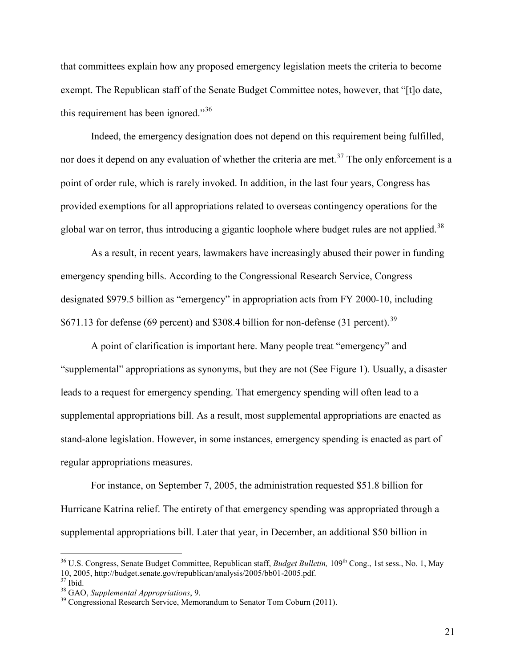that committees explain how any proposed emergency legislation meets the criteria to become exempt. The Republican staff of the Senate Budget Committee notes, however, that "[t]o date, this requirement has been ignored."<sup>[36](#page-20-1)</sup>

Indeed, the emergency designation does not depend on this requirement being fulfilled, nor does it depend on any evaluation of whether the criteria are met.<sup>[37](#page-21-0)</sup> The only enforcement is a point of order rule, which is rarely invoked. In addition, in the last four years, Congress has provided exemptions for all appropriations related to overseas contingency operations for the global war on terror, thus introducing a gigantic loophole where budget rules are not applied.<sup>[38](#page-21-0)</sup>

As a result, in recent years, lawmakers have increasingly abused their power in funding emergency spending bills. According to the Congressional Research Service, Congress designated \$979.5 billion as "emergency" in appropriation acts from FY 2000-10, including \$671.13 for defense (69 percent) and \$308.4 billion for non-defense (31 percent).<sup>[39](#page-21-0)</sup>

A point of clarification is important here. Many people treat "emergency" and "supplemental" appropriations as synonyms, but they are not (See Figure 1). Usually, a disaster leads to a request for emergency spending. That emergency spending will often lead to a supplemental appropriations bill. As a result, most supplemental appropriations are enacted as stand-alone legislation. However, in some instances, emergency spending is enacted as part of regular appropriations measures.

For instance, on September 7, 2005, the administration requested \$51.8 billion for Hurricane Katrina relief. The entirety of that emergency spending was appropriated through a supplemental appropriations bill. Later that year, in December, an additional \$50 billion in

<span id="page-21-0"></span><sup>&</sup>lt;sup>36</sup> U.S. Congress, Senate Budget Committee, Republican staff, *Budget Bulletin*, 109<sup>th</sup> Cong., 1st sess., No. 1, May 10, 2005, http://budget.senate.gov/republican/analysis/2005/bb01-2005.pdf.<br><sup>37</sup> Ibid.<br><sup>38</sup> GAO, *Supplemental Appropriations*, 9.<br><sup>39</sup> Congressional Research Service, Memorandum to Senator Tom Coburn (2011).

<span id="page-21-1"></span>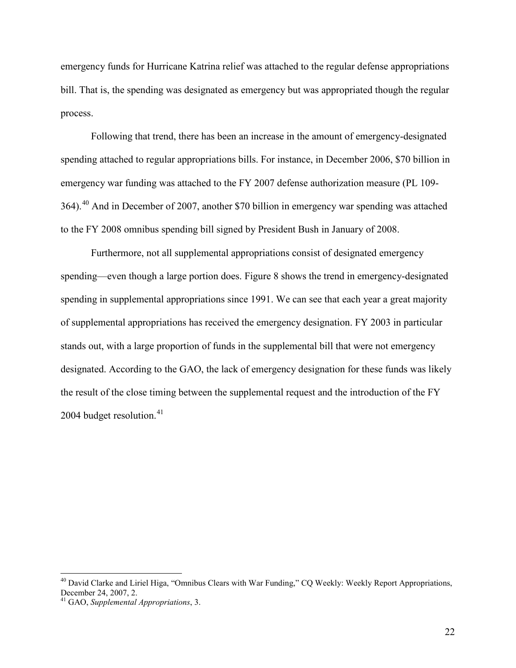emergency funds for Hurricane Katrina relief was attached to the regular defense appropriations bill. That is, the spending was designated as emergency but was appropriated though the regular process.

Following that trend, there has been an increase in the amount of emergency-designated spending attached to regular appropriations bills. For instance, in December 2006, \$70 billion in emergency war funding was attached to the FY 2007 defense authorization measure (PL 109- 364).[40](#page-21-1) And in December of 2007, another \$70 billion in emergency war spending was attached to the FY 2008 omnibus spending bill signed by President Bush in January of 2008.

Furthermore, not all supplemental appropriations consist of designated emergency spending—even though a large portion does. Figure 8 shows the trend in emergency-designated spending in supplemental appropriations since 1991. We can see that each year a great majority of supplemental appropriations has received the emergency designation. FY 2003 in particular stands out, with a large proportion of funds in the supplemental bill that were not emergency designated. According to the GAO, the lack of emergency designation for these funds was likely the result of the close timing between the supplemental request and the introduction of the FY 2004 budget resolution. $41$ 

<span id="page-22-0"></span><sup>&</sup>lt;sup>40</sup> David Clarke and Liriel Higa, "Omnibus Clears with War Funding," CQ Weekly: Weekly Report Appropriations, December 24, 2007, 2.

<sup>&</sup>lt;sup>41</sup> GAO, *Supplemental Appropriations*, 3.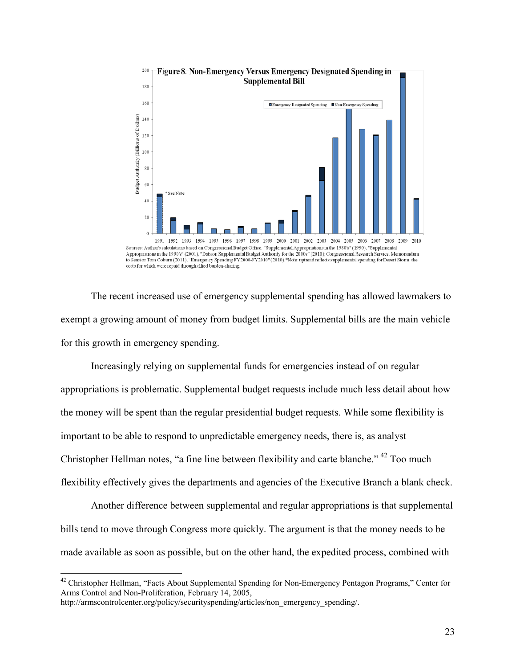

to Senator Tom Coburn (2011), "Emergency Spending FY2000-FY2010" (2010). "Note: uptrend reflects supplemental spending for Desert Storm, the costs for which were repaid through allied burden-sharing.

The recent increased use of emergency supplemental spending has allowed lawmakers to exempt a growing amount of money from budget limits. Supplemental bills are the main vehicle for this growth in emergency spending.

Increasingly relying on supplemental funds for emergencies instead of on regular appropriations is problematic. Supplemental budget requests include much less detail about how the money will be spent than the regular presidential budget requests. While some flexibility is important to be able to respond to unpredictable emergency needs, there is, as analyst Christopher Hellman notes, "a fine line between flexibility and carte blanche." [42](#page-22-0) Too much flexibility effectively gives the departments and agencies of the Executive Branch a blank check.

Another difference between supplemental and regular appropriations is that supplemental bills tend to move through Congress more quickly. The argument is that the money needs to be made available as soon as possible, but on the other hand, the expedited process, combined with

<span id="page-23-0"></span><sup>&</sup>lt;sup>42</sup> Christopher Hellman, "Facts About Supplemental Spending for Non-Emergency Pentagon Programs," Center for Arms Control and Non-Proliferation, February 14, 2005,

http://armscontrolcenter.org/policy/securityspending/articles/non\_emergency\_spending/.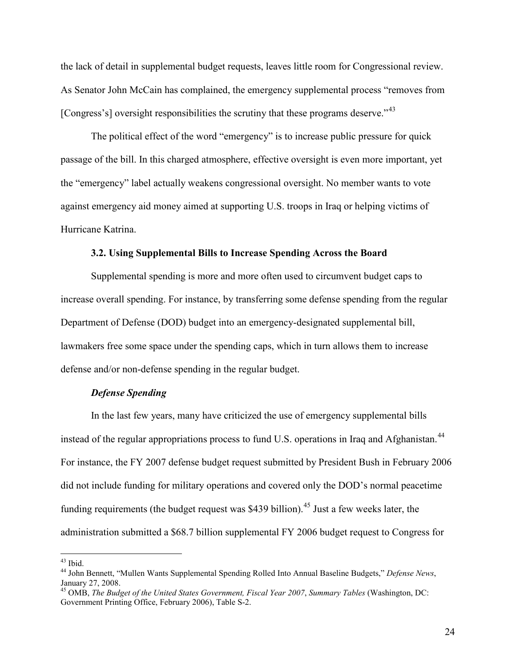the lack of detail in supplemental budget requests, leaves little room for Congressional review. As Senator John McCain has complained, the emergency supplemental process "removes from [Congress's] oversight responsibilities the scrutiny that these programs deserve."<sup>[43](#page-23-0)</sup>

The political effect of the word "emergency" is to increase public pressure for quick passage of the bill. In this charged atmosphere, effective oversight is even more important, yet the "emergency" label actually weakens congressional oversight. No member wants to vote against emergency aid money aimed at supporting U.S. troops in Iraq or helping victims of Hurricane Katrina.

#### **3.2. Using Supplemental Bills to Increase Spending Across the Board**

Supplemental spending is more and more often used to circumvent budget caps to increase overall spending. For instance, by transferring some defense spending from the regular Department of Defense (DOD) budget into an emergency-designated supplemental bill, lawmakers free some space under the spending caps, which in turn allows them to increase defense and/or non-defense spending in the regular budget.

#### *Defense Spending*

In the last few years, many have criticized the use of emergency supplemental bills instead of the regular appropriations process to fund U.S. operations in Iraq and Afghanistan.<sup>[44](#page-24-0)</sup> For instance, the FY 2007 defense budget request submitted by President Bush in February 2006 did not include funding for military operations and covered only the DOD's normal peacetime funding requirements (the budget request was \$439 billion).<sup>[45](#page-24-0)</sup> Just a few weeks later, the administration submitted a \$68.7 billion supplemental FY 2006 budget request to Congress for

<span id="page-24-0"></span><sup>43</sup> Ibid. <sup>44</sup> John Bennett, "Mullen Wants Supplemental Spending Rolled Into Annual Baseline Budgets," *Defense News*, January 27, 2008.

<sup>45</sup> OMB, *The Budget of the United States Government, Fiscal Year 2007*, *Summary Tables* (Washington, DC: Government Printing Office, February 2006), Table S-2.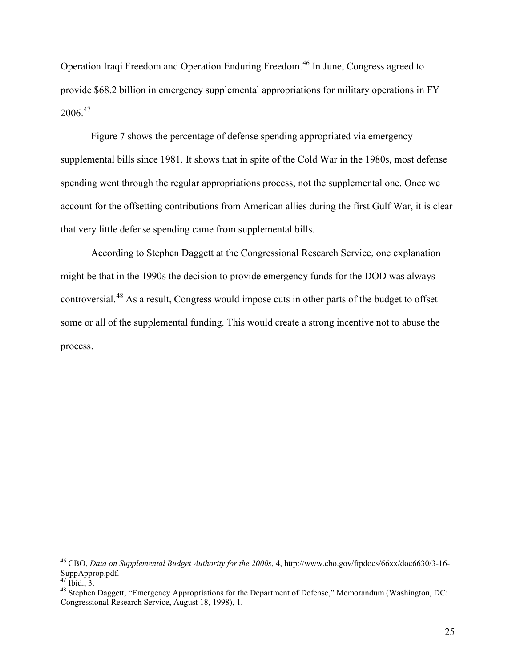Operation Iraqi Freedom and Operation Enduring Freedom.[46](#page-24-0) In June, Congress agreed to provide \$68.2 billion in emergency supplemental appropriations for military operations in FY  $2006.<sup>47</sup>$  $2006.<sup>47</sup>$  $2006.<sup>47</sup>$ 

Figure 7 shows the percentage of defense spending appropriated via emergency supplemental bills since 1981. It shows that in spite of the Cold War in the 1980s, most defense spending went through the regular appropriations process, not the supplemental one. Once we account for the offsetting contributions from American allies during the first Gulf War, it is clear that very little defense spending came from supplemental bills.

According to Stephen Daggett at the Congressional Research Service, one explanation might be that in the 1990s the decision to provide emergency funds for the DOD was always controversial.[48](#page-25-0) As a result, Congress would impose cuts in other parts of the budget to offset some or all of the supplemental funding. This would create a strong incentive not to abuse the process.

<span id="page-25-1"></span><span id="page-25-0"></span><sup>&</sup>lt;sup>46</sup> CBO, *Data on Supplemental Budget Authority for the 2000s*, 4, [http://www.cbo.gov/ftpdocs/66xx/doc6630/3-16-](http://www.cbo.gov/ftpdocs/66xx/doc6630/3-16-SuppApprop.pdf)<br>SuppApprop.pdf.<br><sup>47</sup> Ibid., 3.

<sup>&</sup>lt;sup>48</sup> Stephen Daggett, "Emergency Appropriations for the Department of Defense," Memorandum (Washington, DC: Congressional Research Service, August 18, 1998), 1.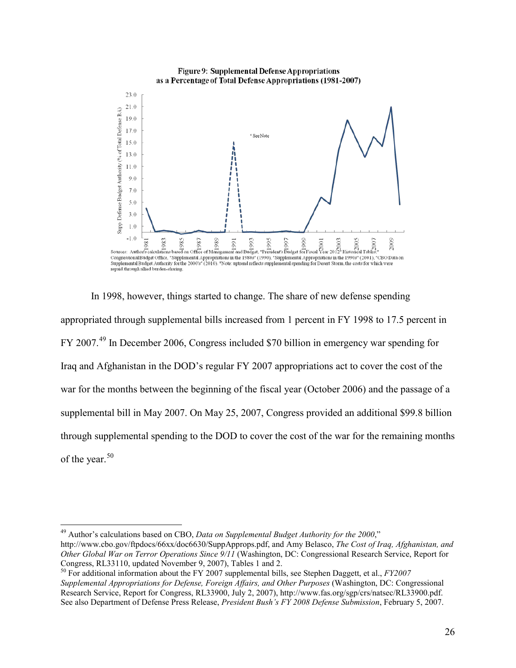

In 1998, however, things started to change. The share of new defense spending appropriated through supplemental bills increased from 1 percent in FY 1998 to 17.5 percent in FY 2007.[49](#page-25-1) In December 2006, Congress included \$70 billion in emergency war spending for Iraq and Afghanistan in the DOD's regular FY 2007 appropriations act to cover the cost of the war for the months between the beginning of the fiscal year (October 2006) and the passage of a supplemental bill in May 2007. On May 25, 2007, Congress provided an additional \$99.8 billion through supplemental spending to the DOD to cover the cost of the war for the remaining months of the year.<sup>[50](#page-26-0)</sup>

<span id="page-26-0"></span> <sup>49</sup> Author's calculations based on CBO, *Data on Supplemental Budget Authority for the 2000*," http://www.cbo.gov/ftpdocs/66xx/doc6630/SuppApprops.pdf, and Amy Belasco, *The Cost of Iraq, Afghanistan, and Other Global War on Terror Operations Since 9/11* (Washington, DC: Congressional Research Service, Report for Congress, RL33110, updated November 9, 2007), Tables 1 and 2.<br><sup>50</sup> For additional information about the FY 2007 supplemental bills, see Stephen Daggett, et al., *FY2007* 

<span id="page-26-1"></span>*Supplemental Appropriations for Defense, Foreign Affairs, and Other Purposes* (Washington, DC: Congressional Research Service, Report for Congress, RL33900, July 2, 2007), [http://www.fas.org/sgp/crs/natsec/RL33900.pdf.](http://www.fas.org/sgp/crs/natsec/RL33900.pdf)  See also Department of Defense Press Release, *President Bush's FY 2008 Defense Submission*, February 5, 2007.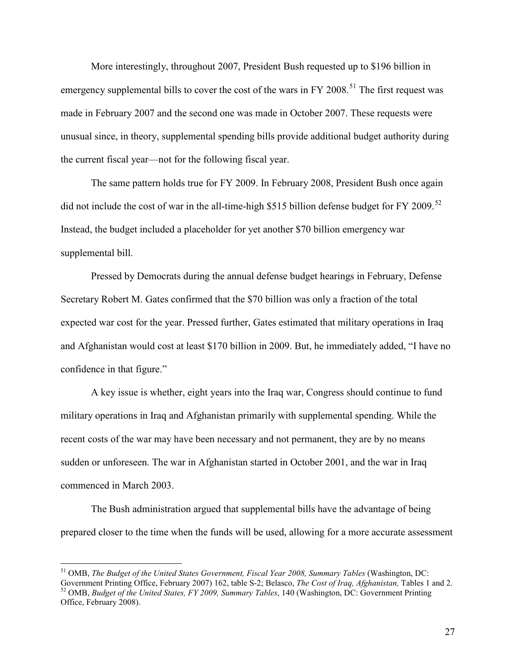More interestingly, throughout 2007, President Bush requested up to \$196 billion in emergency supplemental bills to cover the cost of the wars in FY 2008.<sup>[51](#page-26-1)</sup> The first request was made in February 2007 and the second one was made in October 2007. These requests were unusual since, in theory, supplemental spending bills provide additional budget authority during the current fiscal year—not for the following fiscal year.

The same pattern holds true for FY 2009. In February 2008, President Bush once again did not include the cost of war in the all-time-high \$515 billion defense budget for FY 2009.<sup>[52](#page-27-0)</sup> Instead, the budget included a placeholder for yet another \$70 billion emergency war supplemental bill.

Pressed by Democrats during the annual defense budget hearings in February, Defense Secretary Robert M. Gates confirmed that the \$70 billion was only a fraction of the total expected war cost for the year. Pressed further, Gates estimated that military operations in Iraq and Afghanistan would cost at least \$170 billion in 2009. But, he immediately added, "I have no confidence in that figure."

A key issue is whether, eight years into the Iraq war, Congress should continue to fund military operations in Iraq and Afghanistan primarily with supplemental spending. While the recent costs of the war may have been necessary and not permanent, they are by no means sudden or unforeseen. The war in Afghanistan started in October 2001, and the war in Iraq commenced in March 2003.

The Bush administration argued that supplemental bills have the advantage of being prepared closer to the time when the funds will be used, allowing for a more accurate assessment

<span id="page-27-1"></span><span id="page-27-0"></span> <sup>51</sup> OMB, *The Budget of the United States Government, Fiscal Year 2008, Summary Tables* (Washington, DC: Government Printing Office, February 2007) 162, table S-2; Belasco, *The Cost of Iraq, Afghanistan*, Tables 1 and 2.<br><sup>52</sup> OMB, *Budget of the United States, FY 2009, Summary Tables*, 140 (Washington, DC: Government Printin Office, February 2008).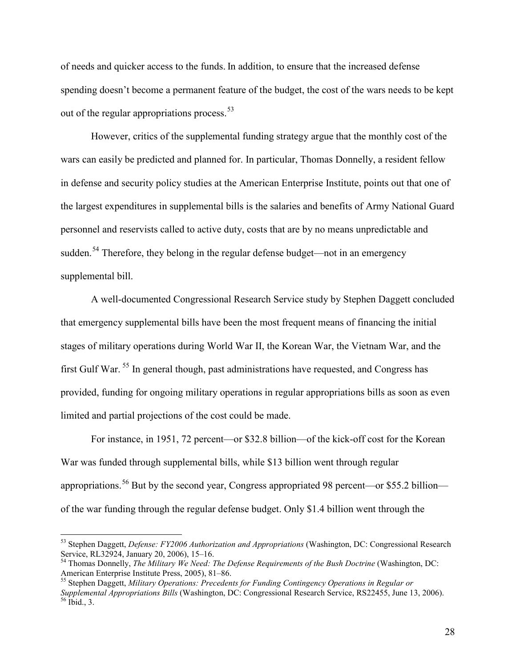of needs and quicker access to the funds. In addition, to ensure that the increased defense spending doesn't become a permanent feature of the budget, the cost of the wars needs to be kept out of the regular appropriations process.  $53$ 

However, critics of the supplemental funding strategy argue that the monthly cost of the wars can easily be predicted and planned for. In particular, Thomas Donnelly, a resident fellow in defense and security policy studies at the American Enterprise Institute, points out that one of the largest expenditures in supplemental bills is the salaries and benefits of Army National Guard personnel and reservists called to active duty, costs that are by no means unpredictable and sudden.<sup>[54](#page-28-0)</sup> Therefore, they belong in the regular defense budget—not in an emergency supplemental bill.

A well-documented Congressional Research Service study by Stephen Daggett concluded that emergency supplemental bills have been the most frequent means of financing the initial stages of military operations during World War II, the Korean War, the Vietnam War, and the first Gulf War.<sup>[55](#page-28-0)</sup> In general though, past administrations have requested, and Congress has provided, funding for ongoing military operations in regular appropriations bills as soon as even limited and partial projections of the cost could be made.

For instance, in 1951, 72 percent—or \$32.8 billion—of the kick-off cost for the Korean War was funded through supplemental bills, while \$13 billion went through regular appropriations.<sup>[56](#page-28-0)</sup> But by the second year, Congress appropriated 98 percent—or \$55.2 billion of the war funding through the regular defense budget. Only \$1.4 billion went through the

<span id="page-28-0"></span><sup>&</sup>lt;sup>53</sup> Stephen Daggett, *Defense: FY2006 Authorization and Appropriations* (Washington, DC: Congressional Research Service, RL32924, January 20, 2006), 15–16.

<span id="page-28-1"></span><sup>&</sup>lt;sup>54</sup> Thomas Donnelly, The Military We Need: The Defense Requirements of the Bush Doctrine (Washington, DC: American Enterprise Institute Press, 2005), 81–86.<br><sup>55</sup> Stephen Daggett, *Military Operations: Precedents for Funding Contingency Operations in Regular or* 

*Supplemental Appropriations Bills* (Washington, DC: Congressional Research Service, RS22455, June 13, 2006).<br><sup>56</sup> Ibid., 3.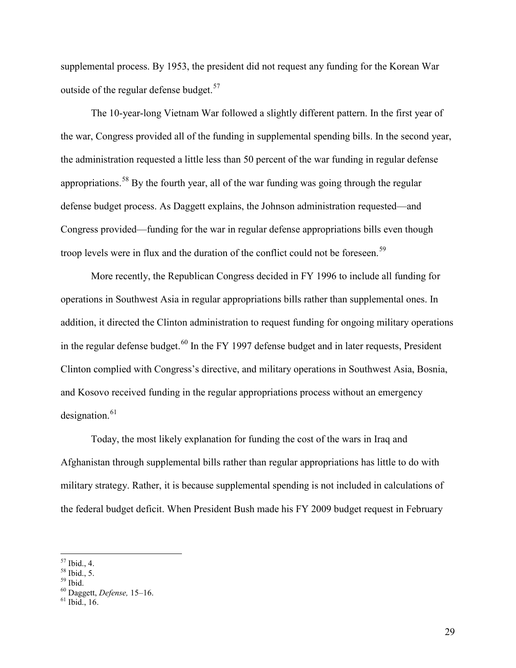supplemental process. By 1953, the president did not request any funding for the Korean War outside of the regular defense budget. $57$ 

The 10-year-long Vietnam War followed a slightly different pattern. In the first year of the war, Congress provided all of the funding in supplemental spending bills. In the second year, the administration requested a little less than 50 percent of the war funding in regular defense appropriations.<sup>[58](#page-29-0)</sup> By the fourth year, all of the war funding was going through the regular defense budget process. As Daggett explains, the Johnson administration requested—and Congress provided—funding for the war in regular defense appropriations bills even though troop levels were in flux and the duration of the conflict could not be foreseen.<sup>[59](#page-29-0)</sup>

More recently, the Republican Congress decided in FY 1996 to include all funding for operations in Southwest Asia in regular appropriations bills rather than supplemental ones. In addition, it directed the Clinton administration to request funding for ongoing military operations in the regular defense budget.<sup>[60](#page-29-0)</sup> In the FY 1997 defense budget and in later requests, President Clinton complied with Congress's directive, and military operations in Southwest Asia, Bosnia, and Kosovo received funding in the regular appropriations process without an emergency designation. $61$ 

Today, the most likely explanation for funding the cost of the wars in Iraq and Afghanistan through supplemental bills rather than regular appropriations has little to do with military strategy. Rather, it is because supplemental spending is not included in calculations of the federal budget deficit. When President Bush made his FY 2009 budget request in February

<span id="page-29-1"></span><span id="page-29-0"></span><sup>57</sup> Ibid., 4. <sup>58</sup> Ibid., 5. <sup>59</sup> Ibid. <sup>60</sup> Daggett, *Defense,* 15–16. <sup>61</sup> Ibid., 16.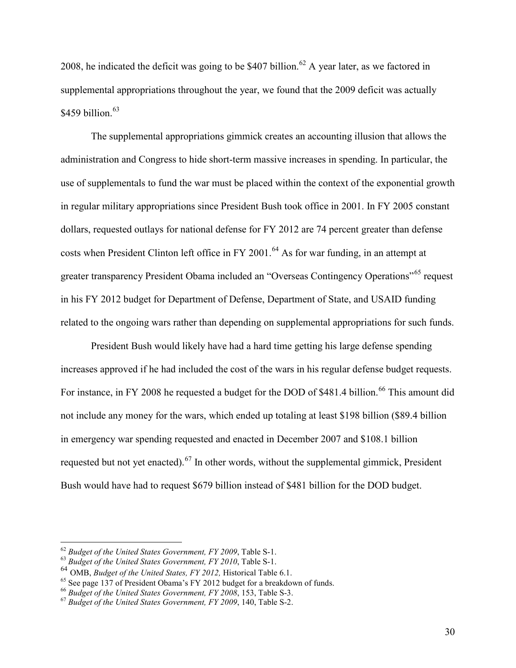2008, he indicated the deficit was going to be \$407 billion.<sup>[62](#page-29-1)</sup> A year later, as we factored in supplemental appropriations throughout the year, we found that the 2009 deficit was actually \$459 billion. $63$ 

The supplemental appropriations gimmick creates an accounting illusion that allows the administration and Congress to hide short-term massive increases in spending. In particular, the use of supplementals to fund the war must be placed within the context of the exponential growth in regular military appropriations since President Bush took office in 2001. In FY 2005 constant dollars, requested outlays for national defense for FY 2012 are 74 percent greater than defense costs when President Clinton left office in FY 2001.<sup>[64](#page-30-0)</sup> As for war funding, in an attempt at greater transparency President Obama included an "Overseas Contingency Operations"<sup>[65](#page-30-0)</sup> request in his FY 2012 budget for Department of Defense, Department of State, and USAID funding related to the ongoing wars rather than depending on supplemental appropriations for such funds.

President Bush would likely have had a hard time getting his large defense spending increases approved if he had included the cost of the wars in his regular defense budget requests. For instance, in FY 2008 he requested a budget for the DOD of \$481.4 billion.<sup>[66](#page-30-0)</sup> This amount did not include any money for the wars, which ended up totaling at least \$198 billion (\$89.4 billion in emergency war spending requested and enacted in December 2007 and \$108.1 billion requested but not yet enacted).<sup>[67](#page-30-0)</sup> In other words, without the supplemental gimmick, President Bush would have had to request \$679 billion instead of \$481 billion for the DOD budget.

<span id="page-30-1"></span><span id="page-30-0"></span><sup>62</sup> *Budget of the United States Government, FY 2009*, Table S-1. <sup>63</sup> *Budget of the United States Government, FY 2010*, Table S-1.

<sup>&</sup>lt;sup>64</sup> OMB, *Budget of the United States, FY 2012*, Historical Table 6.1.<br><sup>65</sup> See page 137 of President Obama's FY 2012 budget for a breakdown of funds.

<sup>&</sup>lt;sup>66</sup> Budget of the United States Government, FY 2008, 153, Table S-3.<br><sup>67</sup> Budget of the United States Government, FY 2009, 140, Table S-2.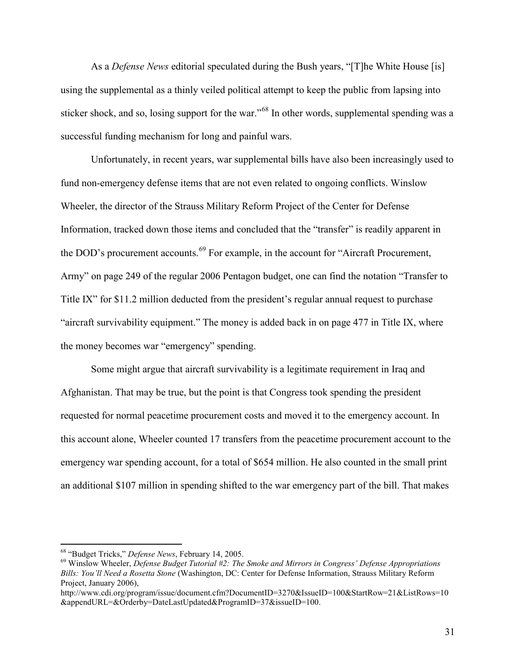As a *Defense News* editorial speculated during the Bush years, "[T]he White House [is] using the supplemental as a thinly veiled political attempt to keep the public from lapsing into sticker shock, and so, losing support for the war."<sup>[68](#page-30-1)</sup> In other words, supplemental spending was a successful funding mechanism for long and painful wars.

Unfortunately, in recent years, war supplemental bills have also been increasingly used to fund non-emergency defense items that are not even related to ongoing conflicts. Winslow Wheeler, the director of the Strauss Military Reform Project of the Center for Defense Information, tracked down those items and concluded that the "transfer" is readily apparent in the DOD's procurement accounts.<sup>[69](#page-31-0)</sup> For example, in the account for "Aircraft Procurement, Army" on page 249 of the regular 2006 Pentagon budget, one can find the notation "Transfer to Title IX" for \$11.2 million deducted from the president's regular annual request to purchase "aircraft survivability equipment." The money is added back in on page 477 in Title IX, where the money becomes war "emergency" spending.

Some might argue that aircraft survivability is a legitimate requirement in Iraq and Afghanistan. That may be true, but the point is that Congress took spending the president requested for normal peacetime procurement costs and moved it to the emergency account. In this account alone, Wheeler counted 17 transfers from the peacetime procurement account to the emergency war spending account, for a total of \$654 million. He also counted in the small print an additional \$107 million in spending shifted to the war emergency part of the bill. That makes

<span id="page-31-0"></span><sup>&</sup>lt;sup>68</sup> "Budget Tricks," *Defense News*, February 14, 2005.<br><sup>69</sup> Winslow Wheeler, *Defense Budget Tutorial #2: The Smoke and Mirrors in Congress' Defense Appropriations Bills: You'll Need a Rosetta Stone* (Washington, DC: Center for Defense Information, Strauss Military Reform Project, January 2006),

<span id="page-31-1"></span>http://www.cdi.org/program/issue/document.cfm?DocumentID=3270&IssueID=100&StartRow=21&ListRows=10 &appendURL=&Orderby=DateLastUpdated&ProgramID=37&issueID=100.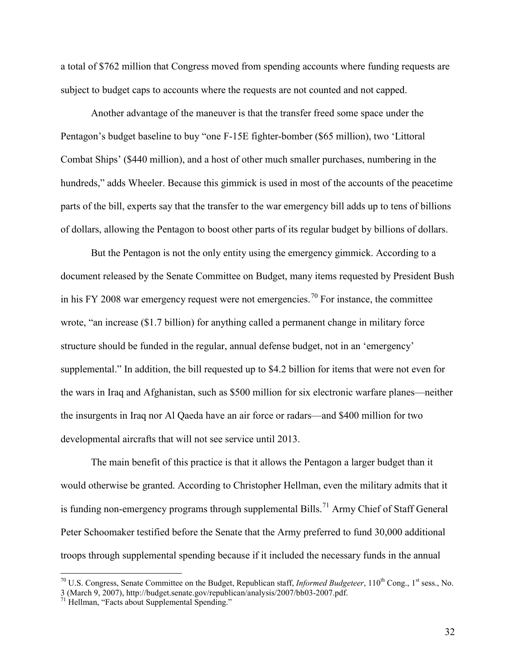a total of \$762 million that Congress moved from spending accounts where funding requests are subject to budget caps to accounts where the requests are not counted and not capped.

Another advantage of the maneuver is that the transfer freed some space under the Pentagon's budget baseline to buy "one F-15E fighter-bomber (\$65 million), two 'Littoral Combat Ships' (\$440 million), and a host of other much smaller purchases, numbering in the hundreds," adds Wheeler. Because this gimmick is used in most of the accounts of the peacetime parts of the bill, experts say that the transfer to the war emergency bill adds up to tens of billions of dollars, allowing the Pentagon to boost other parts of its regular budget by billions of dollars.

But the Pentagon is not the only entity using the emergency gimmick. According to a document released by the Senate Committee on Budget, many items requested by President Bush in his FY 2008 war emergency request were not emergencies.<sup>[70](#page-31-1)</sup> For instance, the committee wrote, "an increase (\$1.7 billion) for anything called a permanent change in military force structure should be funded in the regular, annual defense budget, not in an 'emergency' supplemental." In addition, the bill requested up to \$4.2 billion for items that were not even for the wars in Iraq and Afghanistan, such as \$500 million for six electronic warfare planes—neither the insurgents in Iraq nor Al Qaeda have an air force or radars—and \$400 million for two developmental aircrafts that will not see service until 2013.

The main benefit of this practice is that it allows the Pentagon a larger budget than it would otherwise be granted. According to Christopher Hellman, even the military admits that it is funding non-emergency programs through supplemental Bills.<sup>[71](#page-32-0)</sup> Army Chief of Staff General Peter Schoomaker testified before the Senate that the Army preferred to fund 30,000 additional troops through supplemental spending because if it included the necessary funds in the annual

<span id="page-32-1"></span><span id="page-32-0"></span> $^{70}$  U.S. Congress, Senate Committee on the Budget, Republican staff, *Informed Budgeteer*,  $110^{th}$  Cong., 1<sup>st</sup> sess., No. 3 (March 9, 2007), http://budget.senate.gov/republican/analysis/2007/bb03-2007.pdf.<br><sup>71</sup> Hellman, "Facts about Supplemental Spending."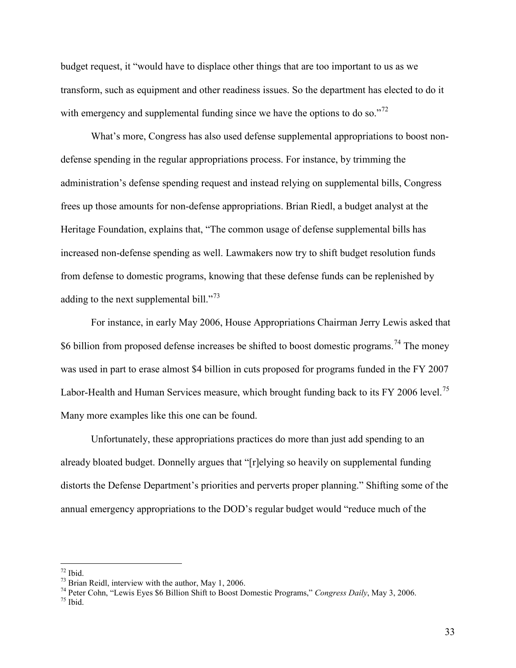budget request, it "would have to displace other things that are too important to us as we transform, such as equipment and other readiness issues. So the department has elected to do it with emergency and supplemental funding since we have the options to do so."<sup>[72](#page-32-1)</sup>

What's more, Congress has also used defense supplemental appropriations to boost nondefense spending in the regular appropriations process. For instance, by trimming the administration's defense spending request and instead relying on supplemental bills, Congress frees up those amounts for non-defense appropriations. Brian Riedl, a budget analyst at the Heritage Foundation, explains that, "The common usage of defense supplemental bills has increased non-defense spending as well. Lawmakers now try to shift budget resolution funds from defense to domestic programs, knowing that these defense funds can be replenished by adding to the next supplemental bill."<sup>[73](#page-33-0)</sup>

For instance, in early May 2006, House Appropriations Chairman Jerry Lewis asked that \$6 billion from proposed defense increases be shifted to boost domestic programs.<sup>[74](#page-33-0)</sup> The money was used in part to erase almost \$4 billion in cuts proposed for programs funded in the FY 2007 Labor-Health and Human Services measure, which brought funding back to its FY 2006 level.<sup>[75](#page-33-0)</sup> Many more examples like this one can be found.

Unfortunately, these appropriations practices do more than just add spending to an already bloated budget. Donnelly argues that "[r]elying so heavily on supplemental funding distorts the Defense Department's priorities and perverts proper planning." Shifting some of the annual emergency appropriations to the DOD's regular budget would "reduce much of the

<span id="page-33-1"></span>

<span id="page-33-0"></span><sup>&</sup>lt;sup>72</sup> Ibid.<br><sup>73</sup> Brian Reidl, interview with the author, May 1, 2006.<br><sup>74</sup> Peter Cohn, "Lewis Eyes \$6 Billion Shift to Boost Domestic Programs," *Congress Daily*, May 3, 2006.<br><sup>75</sup> Ibid.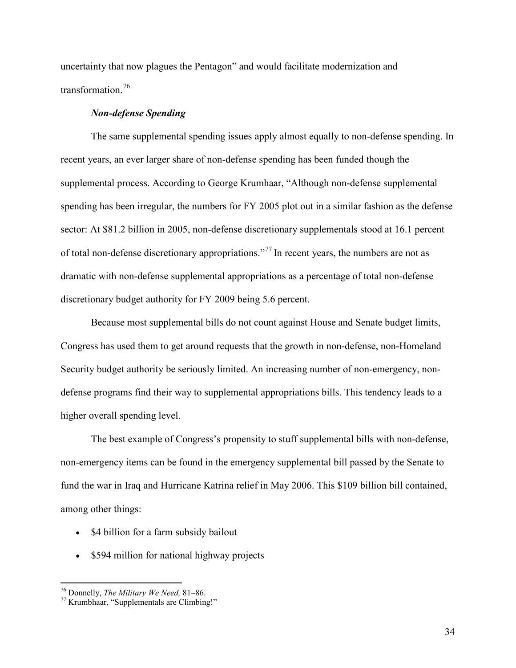uncertainty that now plagues the Pentagon" and would facilitate modernization and transformation<sup>[76](#page-33-1)</sup>

#### *Non-defense Spending*

The same supplemental spending issues apply almost equally to non-defense spending. In recent years, an ever larger share of non-defense spending has been funded though the supplemental process. According to George Krumhaar, "Although non-defense supplemental spending has been irregular, the numbers for FY 2005 plot out in a similar fashion as the defense sector: At \$81.2 billion in 2005, non-defense discretionary supplementals stood at 16.1 percent of total non-defense discretionary appropriations."[77](#page-34-0) In recent years, the numbers are not as dramatic with non-defense supplemental appropriations as a percentage of total non-defense discretionary budget authority for FY 2009 being 5.6 percent.

Because most supplemental bills do not count against House and Senate budget limits, Congress has used them to get around requests that the growth in non-defense, non-Homeland Security budget authority be seriously limited. An increasing number of non-emergency, nondefense programs find their way to supplemental appropriations bills. This tendency leads to a higher overall spending level.

The best example of Congress's propensity to stuff supplemental bills with non-defense, non-emergency items can be found in the emergency supplemental bill passed by the Senate to fund the war in Iraq and Hurricane Katrina relief in May 2006. This \$109 billion bill contained, among other things:

- \$4 billion for a farm subsidy bailout
- \$594 million for national highway projects

<span id="page-34-1"></span><span id="page-34-0"></span><sup>76</sup> Donnelly, *The Military We Need,* 81–86. <sup>77</sup> Krumbhaar, "Supplementals are Climbing!"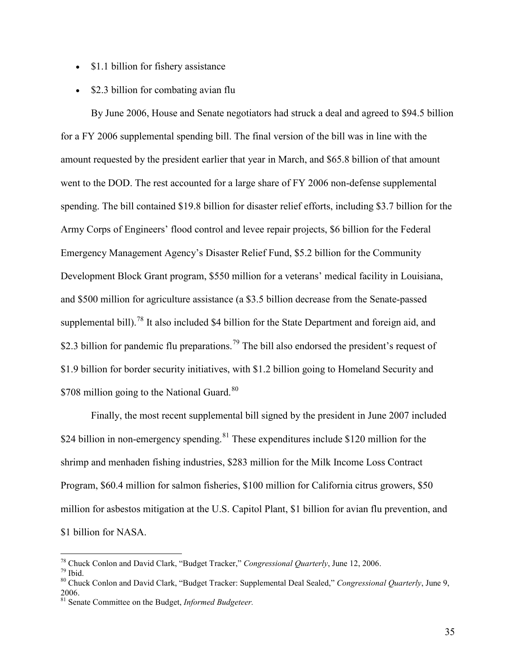- $\bullet$  \$1.1 billion for fishery assistance
- $\bullet$  \$2.3 billion for combating avian flu

By June 2006, House and Senate negotiators had struck a deal and agreed to \$94.5 billion for a FY 2006 supplemental spending bill. The final version of the bill was in line with the amount requested by the president earlier that year in March, and \$65.8 billion of that amount went to the DOD. The rest accounted for a large share of FY 2006 non-defense supplemental spending. The bill contained \$19.8 billion for disaster relief efforts, including \$3.7 billion for the Army Corps of Engineers' flood control and levee repair projects, \$6 billion for the Federal Emergency Management Agency's Disaster Relief Fund, \$5.2 billion for the Community Development Block Grant program, \$550 million for a veterans' medical facility in Louisiana, and \$500 million for agriculture assistance (a \$3.5 billion decrease from the Senate-passed supplemental bill).<sup>[78](#page-34-1)</sup> It also included \$4 billion for the State Department and foreign aid, and \$2.3 billion for pandemic flu preparations.<sup>[79](#page-35-0)</sup> The bill also endorsed the president's request of \$1.9 billion for border security initiatives, with \$1.2 billion going to Homeland Security and \$708 million going to the National Guard.<sup>[80](#page-35-0)</sup>

Finally, the most recent supplemental bill signed by the president in June 2007 included \$24 billion in non-emergency spending.<sup>[81](#page-35-0)</sup> These expenditures include \$120 million for the shrimp and menhaden fishing industries, \$283 million for the Milk Income Loss Contract Program, \$60.4 million for salmon fisheries, \$100 million for California citrus growers, \$50 million for asbestos mitigation at the U.S. Capitol Plant, \$1 billion for avian flu prevention, and \$1 billion for NASA.

<span id="page-35-0"></span><sup>&</sup>lt;sup>78</sup> Chuck Conlon and David Clark, "Budget Tracker," *Congressional Quarterly*, June 12, 2006.<br><sup>79</sup> Ibid.<br><sup>80</sup> Chuck Conlon and David Clark, "Budget Tracker: Supplemental Deal Sealed," *Congressional Quarterly*, June 9,

<sup>2006.</sup> 

<span id="page-35-1"></span><sup>81</sup> Senate Committee on the Budget, *Informed Budgeteer.*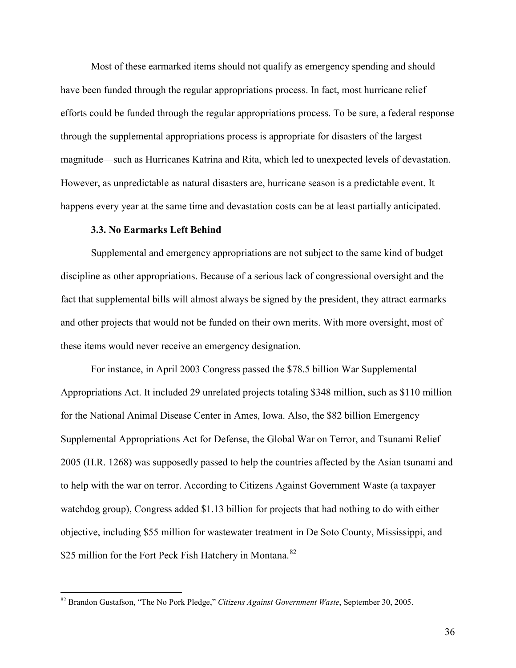Most of these earmarked items should not qualify as emergency spending and should have been funded through the regular appropriations process. In fact, most hurricane relief efforts could be funded through the regular appropriations process. To be sure, a federal response through the supplemental appropriations process is appropriate for disasters of the largest magnitude—such as Hurricanes Katrina and Rita, which led to unexpected levels of devastation. However, as unpredictable as natural disasters are, hurricane season is a predictable event. It happens every year at the same time and devastation costs can be at least partially anticipated.

#### **3.3. No Earmarks Left Behind**

Supplemental and emergency appropriations are not subject to the same kind of budget discipline as other appropriations. Because of a serious lack of congressional oversight and the fact that supplemental bills will almost always be signed by the president, they attract earmarks and other projects that would not be funded on their own merits. With more oversight, most of these items would never receive an emergency designation.

For instance, in April 2003 Congress passed the \$78.5 billion War Supplemental Appropriations Act. It included 29 unrelated projects totaling \$348 million, such as \$110 million for the National Animal Disease Center in Ames, Iowa. Also, the \$82 billion Emergency Supplemental Appropriations Act for Defense, the Global War on Terror, and Tsunami Relief 2005 (H.R. 1268) was supposedly passed to help the countries affected by the Asian tsunami and to help with the war on terror. According to Citizens Against Government Waste (a taxpayer watchdog group), Congress added \$1.13 billion for projects that had nothing to do with either objective, including \$55 million for wastewater treatment in De Soto County, Mississippi, and \$25 million for the Fort Peck Fish Hatchery in Montana.<sup>[82](#page-35-1)</sup>

<span id="page-36-0"></span> <sup>82</sup> Brandon Gustafson, "The No Pork Pledge," *Citizens Against Government Waste*, September 30, 2005.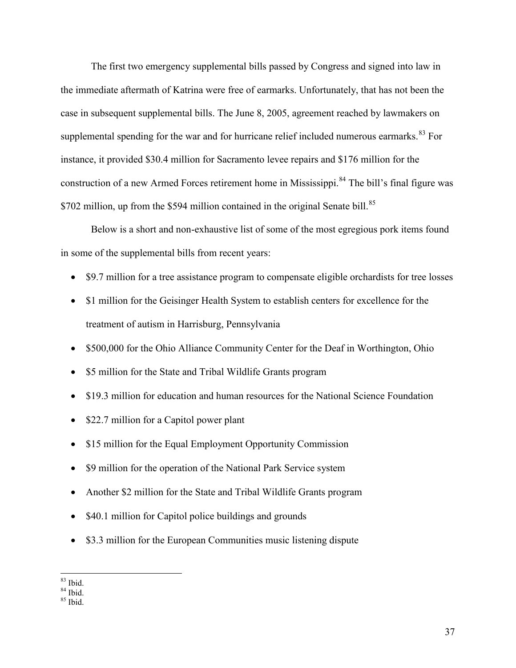The first two emergency supplemental bills passed by Congress and signed into law in the immediate aftermath of Katrina were free of earmarks. Unfortunately, that has not been the case in subsequent supplemental bills. The June 8, 2005, agreement reached by lawmakers on supplemental spending for the war and for hurricane relief included numerous earmarks.  $83$  For instance, it provided \$30.4 million for Sacramento levee repairs and \$176 million for the construction of a new Armed Forces retirement home in Mississippi.<sup>[84](#page-37-0)</sup> The bill's final figure was \$702 million, up from the \$594 million contained in the original Senate bill.<sup>[85](#page-37-0)</sup>

Below is a short and non-exhaustive list of some of the most egregious pork items found in some of the supplemental bills from recent years:

- \$9.7 million for a tree assistance program to compensate eligible orchardists for tree losses
- \$1 million for the Geisinger Health System to establish centers for excellence for the treatment of autism in Harrisburg, Pennsylvania
- \$500,000 for the Ohio Alliance Community Center for the Deaf in Worthington, Ohio
- \$5 million for the State and Tribal Wildlife Grants program
- \$19.3 million for education and human resources for the National Science Foundation
- \$22.7 million for a Capitol power plant
- \$15 million for the Equal Employment Opportunity Commission
- \$9 million for the operation of the National Park Service system
- Another \$2 million for the State and Tribal Wildlife Grants program
- $\bullet$  \$40.1 million for Capitol police buildings and grounds
- \$3.3 million for the European Communities music listening dispute

<span id="page-37-0"></span> $\frac{83}{84}$  Ibid.<br> $\frac{84}{85}$  Ibid.

<span id="page-37-1"></span>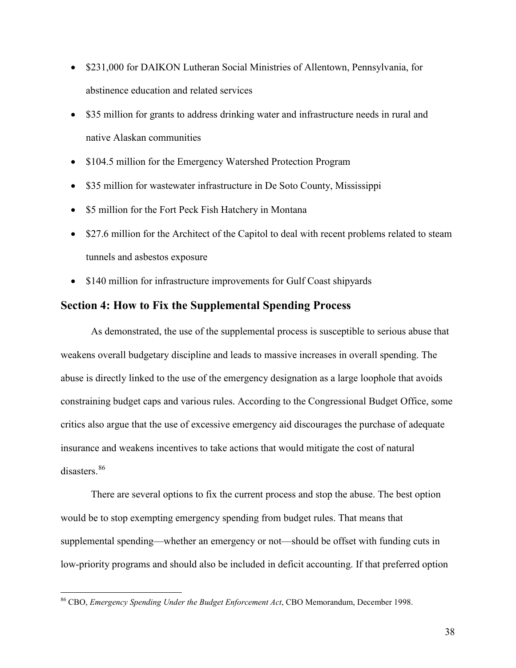- \$231,000 for DAIKON Lutheran Social Ministries of Allentown, Pennsylvania, for abstinence education and related services
- \$35 million for grants to address drinking water and infrastructure needs in rural and native Alaskan communities
- \$104.5 million for the Emergency Watershed Protection Program
- \$35 million for wastewater infrastructure in De Soto County, Mississippi
- \$5 million for the Fort Peck Fish Hatchery in Montana
- \$27.6 million for the Architect of the Capitol to deal with recent problems related to steam tunnels and asbestos exposure
- \$140 million for infrastructure improvements for Gulf Coast shipyards

## **Section 4: How to Fix the Supplemental Spending Process**

As demonstrated, the use of the supplemental process is susceptible to serious abuse that weakens overall budgetary discipline and leads to massive increases in overall spending. The abuse is directly linked to the use of the emergency designation as a large loophole that avoids constraining budget caps and various rules. According to the Congressional Budget Office, some critics also argue that the use of excessive emergency aid discourages the purchase of adequate insurance and weakens incentives to take actions that would mitigate the cost of natural disasters<sup>[86](#page-37-1)</sup>

There are several options to fix the current process and stop the abuse. The best option would be to stop exempting emergency spending from budget rules. That means that supplemental spending—whether an emergency or not—should be offset with funding cuts in low-priority programs and should also be included in deficit accounting. If that preferred option

<span id="page-38-0"></span> <sup>86</sup> CBO, *Emergency Spending Under the Budget Enforcement Act*, CBO Memorandum, December 1998.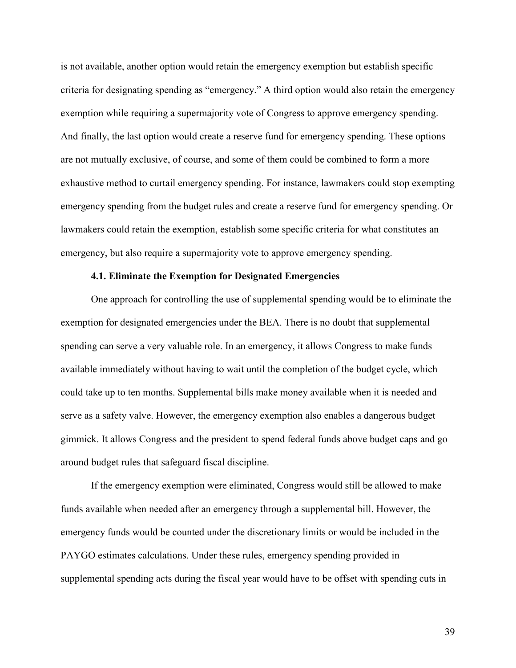is not available, another option would retain the emergency exemption but establish specific criteria for designating spending as "emergency." A third option would also retain the emergency exemption while requiring a supermajority vote of Congress to approve emergency spending. And finally, the last option would create a reserve fund for emergency spending. These options are not mutually exclusive, of course, and some of them could be combined to form a more exhaustive method to curtail emergency spending. For instance, lawmakers could stop exempting emergency spending from the budget rules and create a reserve fund for emergency spending. Or lawmakers could retain the exemption, establish some specific criteria for what constitutes an emergency, but also require a supermajority vote to approve emergency spending.

#### **4.1. Eliminate the Exemption for Designated Emergencies**

One approach for controlling the use of supplemental spending would be to eliminate the exemption for designated emergencies under the BEA. There is no doubt that supplemental spending can serve a very valuable role. In an emergency, it allows Congress to make funds available immediately without having to wait until the completion of the budget cycle, which could take up to ten months. Supplemental bills make money available when it is needed and serve as a safety valve. However, the emergency exemption also enables a dangerous budget gimmick. It allows Congress and the president to spend federal funds above budget caps and go around budget rules that safeguard fiscal discipline.

If the emergency exemption were eliminated, Congress would still be allowed to make funds available when needed after an emergency through a supplemental bill. However, the emergency funds would be counted under the discretionary limits or would be included in the PAYGO estimates calculations. Under these rules, emergency spending provided in supplemental spending acts during the fiscal year would have to be offset with spending cuts in

39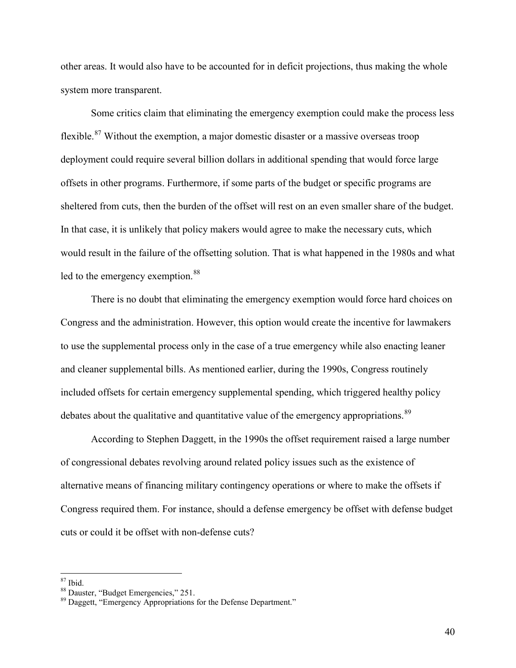other areas. It would also have to be accounted for in deficit projections, thus making the whole system more transparent.

Some critics claim that eliminating the emergency exemption could make the process less flexible.[87](#page-38-0) Without the exemption, a major domestic disaster or a massive overseas troop deployment could require several billion dollars in additional spending that would force large offsets in other programs. Furthermore, if some parts of the budget or specific programs are sheltered from cuts, then the burden of the offset will rest on an even smaller share of the budget. In that case, it is unlikely that policy makers would agree to make the necessary cuts, which would result in the failure of the offsetting solution. That is what happened in the 1980s and what led to the emergency exemption.<sup>[88](#page-40-0)</sup>

There is no doubt that eliminating the emergency exemption would force hard choices on Congress and the administration. However, this option would create the incentive for lawmakers to use the supplemental process only in the case of a true emergency while also enacting leaner and cleaner supplemental bills. As mentioned earlier, during the 1990s, Congress routinely included offsets for certain emergency supplemental spending, which triggered healthy policy debates about the qualitative and quantitative value of the emergency appropriations.<sup>[89](#page-40-0)</sup>

According to Stephen Daggett, in the 1990s the offset requirement raised a large number of congressional debates revolving around related policy issues such as the existence of alternative means of financing military contingency operations or where to make the offsets if Congress required them. For instance, should a defense emergency be offset with defense budget cuts or could it be offset with non-defense cuts?

<span id="page-40-1"></span>

<span id="page-40-0"></span><sup>&</sup>lt;sup>87</sup> Ibid.<br><sup>88</sup> Dauster, "Budget Emergencies," 251.<br><sup>89</sup> Daggett, "Emergency Appropriations for the Defense Department."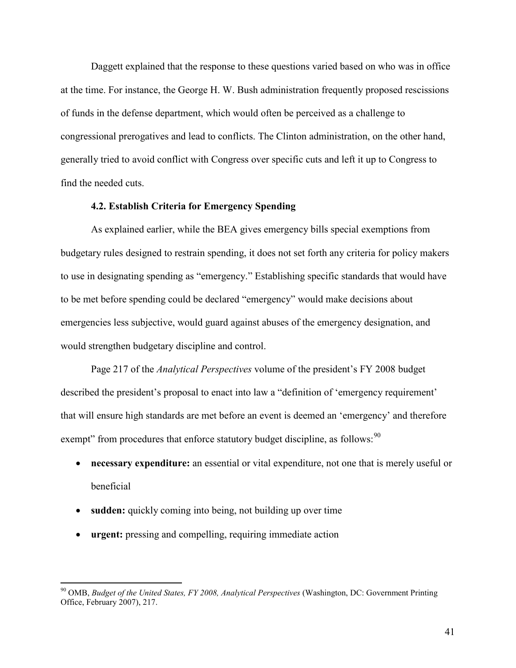Daggett explained that the response to these questions varied based on who was in office at the time. For instance, the George H. W. Bush administration frequently proposed rescissions of funds in the defense department, which would often be perceived as a challenge to congressional prerogatives and lead to conflicts. The Clinton administration, on the other hand, generally tried to avoid conflict with Congress over specific cuts and left it up to Congress to find the needed cuts.

#### **4.2. Establish Criteria for Emergency Spending**

As explained earlier, while the BEA gives emergency bills special exemptions from budgetary rules designed to restrain spending, it does not set forth any criteria for policy makers to use in designating spending as "emergency." Establishing specific standards that would have to be met before spending could be declared "emergency" would make decisions about emergencies less subjective, would guard against abuses of the emergency designation, and would strengthen budgetary discipline and control.

Page 217 of the *Analytical Perspectives* volume of the president's FY 2008 budget described the president's proposal to enact into law a "definition of 'emergency requirement' that will ensure high standards are met before an event is deemed an 'emergency' and therefore exempt" from procedures that enforce statutory budget discipline, as follows: <sup>[90](#page-40-1)</sup>

- **necessary expenditure:** an essential or vital expenditure, not one that is merely useful or beneficial
- **sudden:** quickly coming into being, not building up over time
- **urgent:** pressing and compelling, requiring immediate action

<span id="page-41-0"></span> <sup>90</sup> OMB, *Budget of the United States, FY 2008, Analytical Perspectives* (Washington, DC: Government Printing Office, February 2007), 217.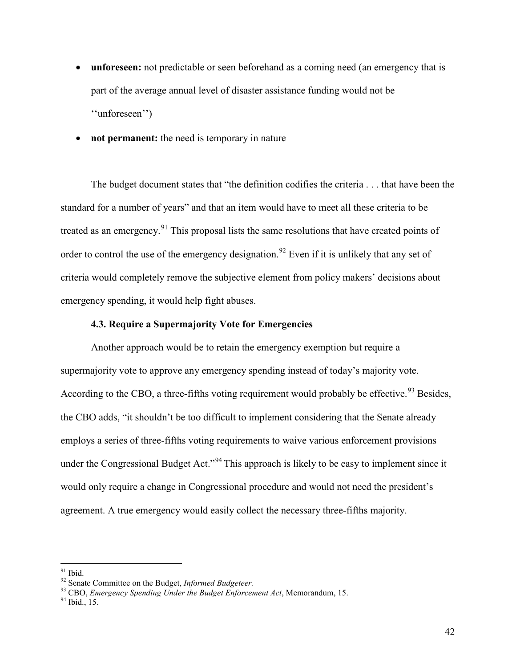- unforeseen: not predictable or seen beforehand as a coming need (an emergency that is part of the average annual level of disaster assistance funding would not be ''unforeseen'')
- **not permanent:** the need is temporary in nature

The budget document states that "the definition codifies the criteria . . . that have been the standard for a number of years" and that an item would have to meet all these criteria to be treated as an emergency.<sup>[91](#page-41-0)</sup> This proposal lists the same resolutions that have created points of order to control the use of the emergency designation.<sup>[92](#page-42-0)</sup> Even if it is unlikely that any set of criteria would completely remove the subjective element from policy makers' decisions about emergency spending, it would help fight abuses.

#### **4.3. Require a Supermajority Vote for Emergencies**

Another approach would be to retain the emergency exemption but require a supermajority vote to approve any emergency spending instead of today's majority vote. According to the CBO, a three-fifths voting requirement would probably be effective.  $93$  Besides, the CBO adds, "it shouldn't be too difficult to implement considering that the Senate already employs a series of three-fifths voting requirements to waive various enforcement provisions under the Congressional Budget Act."<sup>[94](#page-42-0)</sup> This approach is likely to be easy to implement since it would only require a change in Congressional procedure and would not need the president's agreement. A true emergency would easily collect the necessary three-fifths majority.

<span id="page-42-1"></span><span id="page-42-0"></span><sup>91</sup> Ibid.<br><sup>92</sup> Senate Committee on the Budget, *Informed Budgeteer*.<br><sup>93</sup> CBO, *Emergency Spending Under the Budget Enforcement Act*, Memorandum, 15.<br><sup>94</sup> Ibid., 15.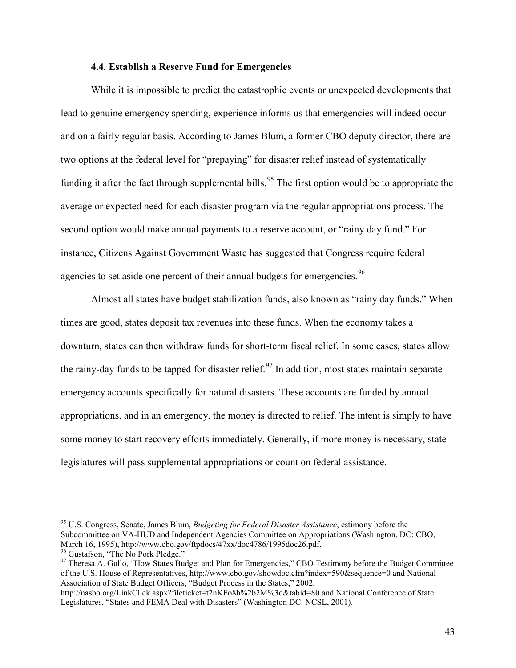#### **4.4. Establish a Reserve Fund for Emergencies**

While it is impossible to predict the catastrophic events or unexpected developments that lead to genuine emergency spending, experience informs us that emergencies will indeed occur and on a fairly regular basis. According to James Blum, a former CBO deputy director, there are two options at the federal level for "prepaying" for disaster relief instead of systematically funding it after the fact through supplemental bills.<sup>[95](#page-42-1)</sup> The first option would be to appropriate the average or expected need for each disaster program via the regular appropriations process. The second option would make annual payments to a reserve account, or "rainy day fund." For instance, Citizens Against Government Waste has suggested that Congress require federal agencies to set aside one percent of their annual budgets for emergencies.<sup>[96](#page-43-0)</sup>

Almost all states have budget stabilization funds, also known as "rainy day funds." When times are good, states deposit tax revenues into these funds. When the economy takes a downturn, states can then withdraw funds for short-term fiscal relief. In some cases, states allow the rainy-day funds to be tapped for disaster relief.<sup>[97](#page-43-0)</sup> In addition, most states maintain separate emergency accounts specifically for natural disasters. These accounts are funded by annual appropriations, and in an emergency, the money is directed to relief. The intent is simply to have some money to start recovery efforts immediately. Generally, if more money is necessary, state legislatures will pass supplemental appropriations or count on federal assistance.

<span id="page-43-0"></span> <sup>95</sup> U.S. Congress, Senate, James Blum, *Budgeting for Federal Disaster Assistance*, estimony before the Subcommittee on VA-HUD and Independent Agencies Committee on Appropriations (Washington, DC: CBO, March 16, 1995), http://www.cbo.gov/ftpdocs/47xx/doc4786/1995doc26.pdf.<br><sup>96</sup> Gustafson, "The No Pork Pledge."<br><sup>97</sup> Theresa A. Gullo, "How States Budget and Plan for Emergencies," CBO Testimony before the Budget Committee

of the U.S. House of Representatives, http://www.cbo.gov/showdoc.cfm?index=590&sequence=0 and National Association of State Budget Officers, "Budget Process in the States," 2002,

<span id="page-43-1"></span>http://nasbo.org/LinkClick.aspx?fileticket=t2nKFo8b%2b2M%3d&tabid=80 and National Conference of State Legislatures, "States and FEMA Deal with Disasters" (Washington DC: NCSL, 2001).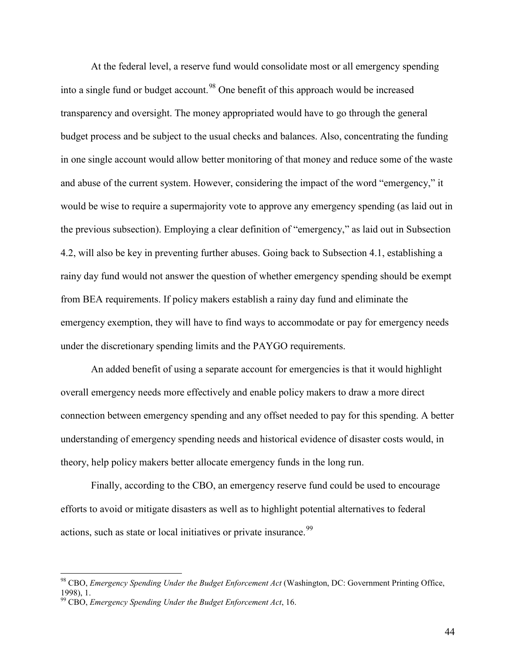At the federal level, a reserve fund would consolidate most or all emergency spending into a single fund or budget account.<sup>[98](#page-43-1)</sup> One benefit of this approach would be increased transparency and oversight. The money appropriated would have to go through the general budget process and be subject to the usual checks and balances. Also, concentrating the funding in one single account would allow better monitoring of that money and reduce some of the waste and abuse of the current system. However, considering the impact of the word "emergency," it would be wise to require a supermajority vote to approve any emergency spending (as laid out in the previous subsection). Employing a clear definition of "emergency," as laid out in Subsection 4.2, will also be key in preventing further abuses. Going back to Subsection 4.1, establishing a rainy day fund would not answer the question of whether emergency spending should be exempt from BEA requirements. If policy makers establish a rainy day fund and eliminate the emergency exemption, they will have to find ways to accommodate or pay for emergency needs under the discretionary spending limits and the PAYGO requirements.

An added benefit of using a separate account for emergencies is that it would highlight overall emergency needs more effectively and enable policy makers to draw a more direct connection between emergency spending and any offset needed to pay for this spending. A better understanding of emergency spending needs and historical evidence of disaster costs would, in theory, help policy makers better allocate emergency funds in the long run.

Finally, according to the CBO, an emergency reserve fund could be used to encourage efforts to avoid or mitigate disasters as well as to highlight potential alternatives to federal actions, such as state or local initiatives or private insurance.<sup>[99](#page-44-0)</sup>

<span id="page-44-0"></span> <sup>98</sup> CBO, *Emergency Spending Under the Budget Enforcement Act* (Washington, DC: Government Printing Office, 1998), 1.

<sup>99</sup> CBO, *Emergency Spending Under the Budget Enforcement Act*, 16.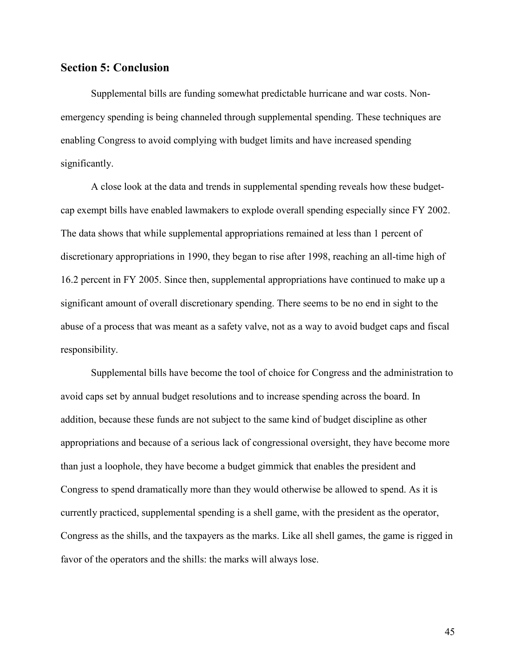## **Section 5: Conclusion**

Supplemental bills are funding somewhat predictable hurricane and war costs. Nonemergency spending is being channeled through supplemental spending. These techniques are enabling Congress to avoid complying with budget limits and have increased spending significantly.

A close look at the data and trends in supplemental spending reveals how these budgetcap exempt bills have enabled lawmakers to explode overall spending especially since FY 2002. The data shows that while supplemental appropriations remained at less than 1 percent of discretionary appropriations in 1990, they began to rise after 1998, reaching an all-time high of 16.2 percent in FY 2005. Since then, supplemental appropriations have continued to make up a significant amount of overall discretionary spending. There seems to be no end in sight to the abuse of a process that was meant as a safety valve, not as a way to avoid budget caps and fiscal responsibility.

Supplemental bills have become the tool of choice for Congress and the administration to avoid caps set by annual budget resolutions and to increase spending across the board. In addition, because these funds are not subject to the same kind of budget discipline as other appropriations and because of a serious lack of congressional oversight, they have become more than just a loophole, they have become a budget gimmick that enables the president and Congress to spend dramatically more than they would otherwise be allowed to spend. As it is currently practiced, supplemental spending is a shell game, with the president as the operator, Congress as the shills, and the taxpayers as the marks. Like all shell games, the game is rigged in favor of the operators and the shills: the marks will always lose.

45